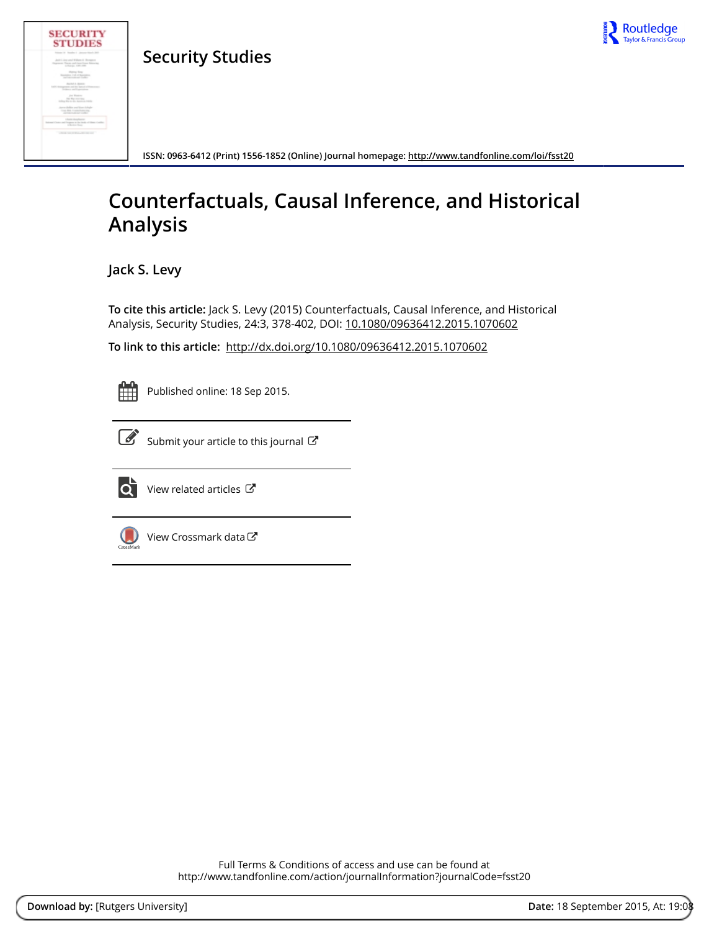

**Security Studies**



**ISSN: 0963-6412 (Print) 1556-1852 (Online) Journal homepage:<http://www.tandfonline.com/loi/fsst20>**

# **Counterfactuals, Causal Inference, and Historical Analysis**

**Jack S. Levy**

**To cite this article:** Jack S. Levy (2015) Counterfactuals, Causal Inference, and Historical Analysis, Security Studies, 24:3, 378-402, DOI: [10.1080/09636412.2015.1070602](http://www.tandfonline.com/action/showCitFormats?doi=10.1080/09636412.2015.1070602)

**To link to this article:** <http://dx.doi.org/10.1080/09636412.2015.1070602>

| _<br><b>Service Service</b> | <b>Service Service</b> | <b>Service Service</b> |  |
|-----------------------------|------------------------|------------------------|--|
|                             |                        |                        |  |
|                             |                        |                        |  |
|                             |                        |                        |  |

Published online: 18 Sep 2015.



 $\overrightarrow{S}$  [Submit your article to this journal](http://www.tandfonline.com/action/authorSubmission?journalCode=fsst20&page=instructions)  $\overrightarrow{S}$ 



 $\overrightarrow{Q}$  [View related articles](http://www.tandfonline.com/doi/mlt/10.1080/09636412.2015.1070602)  $\overrightarrow{C}$ 



[View Crossmark data](http://crossmark.crossref.org/dialog/?doi=10.1080/09636412.2015.1070602&domain=pdf&date_stamp=2015-09-18)

Full Terms & Conditions of access and use can be found at <http://www.tandfonline.com/action/journalInformation?journalCode=fsst20>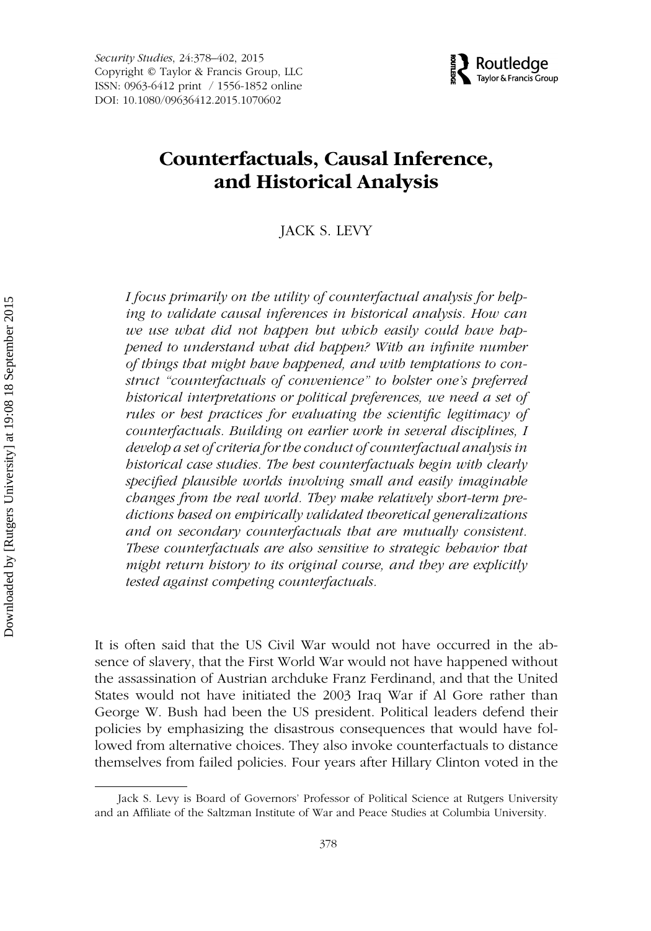

## **Counterfactuals, Causal Inference, and Historical Analysis**

## JACK S. LEVY

*I focus primarily on the utility of counterfactual analysis for helping to validate causal inferences in historical analysis. How can we use what did not happen but which easily could have happened to understand what did happen? With an infinite number of things that might have happened, and with temptations to construct "counterfactuals of convenience" to bolster one's preferred historical interpretations or political preferences, we need a set of rules or best practices for evaluating the scientific legitimacy of counterfactuals. Building on earlier work in several disciplines, I develop a set of criteria for the conduct of counterfactual analysis in historical case studies. The best counterfactuals begin with clearly specified plausible worlds involving small and easily imaginable changes from the real world. They make relatively short-term predictions based on empirically validated theoretical generalizations and on secondary counterfactuals that are mutually consistent. These counterfactuals are also sensitive to strategic behavior that might return history to its original course, and they are explicitly tested against competing counterfactuals.*

It is often said that the US Civil War would not have occurred in the absence of slavery, that the First World War would not have happened without the assassination of Austrian archduke Franz Ferdinand, and that the United States would not have initiated the 2003 Iraq War if Al Gore rather than George W. Bush had been the US president. Political leaders defend their policies by emphasizing the disastrous consequences that would have followed from alternative choices. They also invoke counterfactuals to distance themselves from failed policies. Four years after Hillary Clinton voted in the

Jack S. Levy is Board of Governors' Professor of Political Science at Rutgers University and an Affiliate of the Saltzman Institute of War and Peace Studies at Columbia University.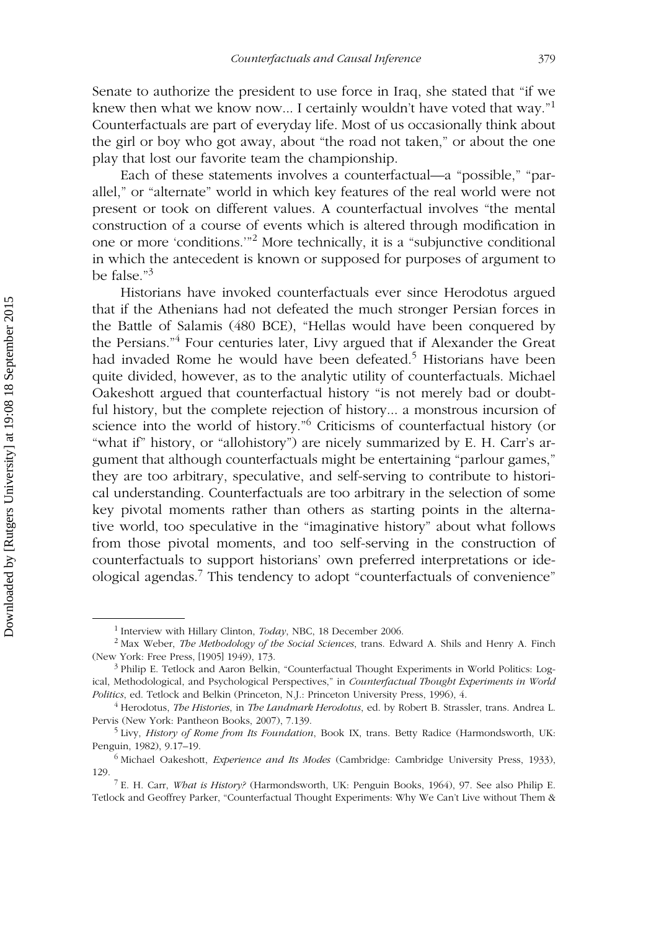Senate to authorize the president to use force in Iraq, she stated that "if we knew then what we know now... I certainly wouldn't have voted that way."<sup>1</sup> Counterfactuals are part of everyday life. Most of us occasionally think about the girl or boy who got away, about "the road not taken," or about the one play that lost our favorite team the championship.

Each of these statements involves a counterfactual—a "possible," "parallel," or "alternate" world in which key features of the real world were not present or took on different values. A counterfactual involves "the mental construction of a course of events which is altered through modification in one or more 'conditions.'"2 More technically, it is a "subjunctive conditional in which the antecedent is known or supposed for purposes of argument to be false."<sup>3</sup>

Historians have invoked counterfactuals ever since Herodotus argued that if the Athenians had not defeated the much stronger Persian forces in the Battle of Salamis (480 BCE), "Hellas would have been conquered by the Persians."<sup>4</sup> Four centuries later, Livy argued that if Alexander the Great had invaded Rome he would have been defeated.<sup>5</sup> Historians have been quite divided, however, as to the analytic utility of counterfactuals. Michael Oakeshott argued that counterfactual history "is not merely bad or doubtful history, but the complete rejection of history... a monstrous incursion of science into the world of history."<sup>6</sup> Criticisms of counterfactual history (or "what if" history, or "allohistory") are nicely summarized by E. H. Carr's argument that although counterfactuals might be entertaining "parlour games," they are too arbitrary, speculative, and self-serving to contribute to historical understanding. Counterfactuals are too arbitrary in the selection of some key pivotal moments rather than others as starting points in the alternative world, too speculative in the "imaginative history" about what follows from those pivotal moments, and too self-serving in the construction of counterfactuals to support historians' own preferred interpretations or ideological agendas.<sup>7</sup> This tendency to adopt "counterfactuals of convenience"

<sup>1</sup> Interview with Hillary Clinton, *Today*, NBC, 18 December 2006.

<sup>2</sup> Max Weber, *The Methodology of the Social Sciences*, trans. Edward A. Shils and Henry A. Finch (New York: Free Press, [1905] 1949), 173.

<sup>3</sup> Philip E. Tetlock and Aaron Belkin, "Counterfactual Thought Experiments in World Politics: Logical, Methodological, and Psychological Perspectives," in *Counterfactual Thought Experiments in World Politics*, ed. Tetlock and Belkin (Princeton, N.J.: Princeton University Press, 1996), 4.

<sup>4</sup> Herodotus, *The Histories*, in *The Landmark Herodotus*, ed. by Robert B. Strassler, trans. Andrea L. Pervis (New York: Pantheon Books, 2007), 7.139.

<sup>5</sup> Livy, *History of Rome from Its Foundation*, Book IX, trans. Betty Radice (Harmondsworth, UK: Penguin, 1982), 9.17–19.

<sup>6</sup> Michael Oakeshott, *Experience and Its Modes* (Cambridge: Cambridge University Press, 1933), 129.

<sup>7</sup> E. H. Carr, *What is History?* (Harmondsworth, UK: Penguin Books, 1964), 97. See also Philip E. Tetlock and Geoffrey Parker, "Counterfactual Thought Experiments: Why We Can't Live without Them &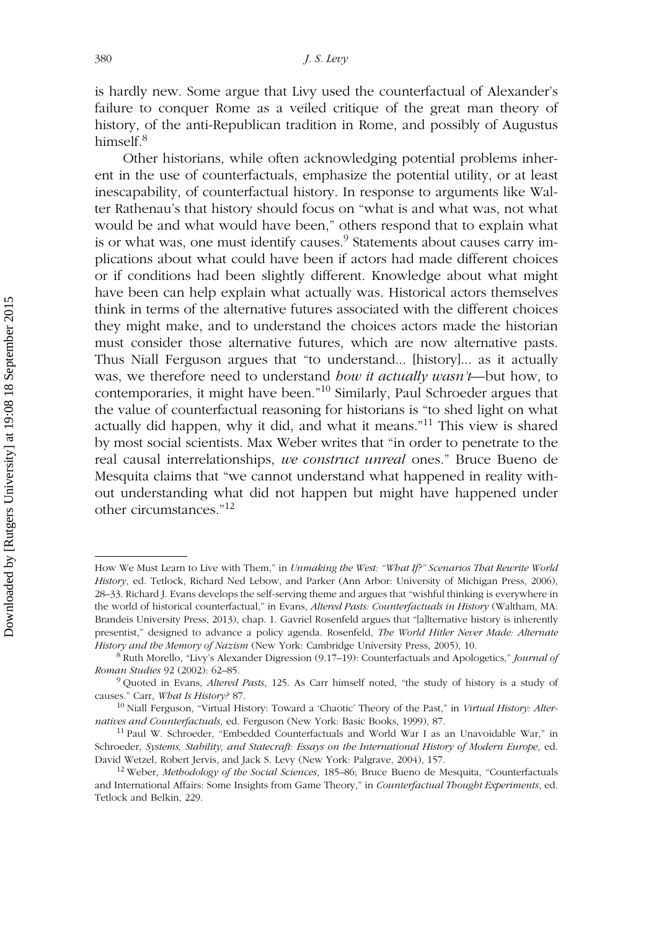is hardly new. Some argue that Livy used the counterfactual of Alexander's failure to conquer Rome as a veiled critique of the great man theory of history, of the anti-Republican tradition in Rome, and possibly of Augustus himself.<sup>8</sup>

Other historians, while often acknowledging potential problems inherent in the use of counterfactuals, emphasize the potential utility, or at least inescapability, of counterfactual history. In response to arguments like Walter Rathenau's that history should focus on "what is and what was, not what would be and what would have been," others respond that to explain what is or what was, one must identify causes.<sup>9</sup> Statements about causes carry implications about what could have been if actors had made different choices or if conditions had been slightly different. Knowledge about what might have been can help explain what actually was. Historical actors themselves think in terms of the alternative futures associated with the different choices they might make, and to understand the choices actors made the historian must consider those alternative futures, which are now alternative pasts. Thus Niall Ferguson argues that "to understand... [history]... as it actually was, we therefore need to understand *how it actually wasn't—*but how, to contemporaries, it might have been."<sup>10</sup> Similarly, Paul Schroeder argues that the value of counterfactual reasoning for historians is "to shed light on what actually did happen, why it did, and what it means."<sup>11</sup> This view is shared by most social scientists. Max Weber writes that "in order to penetrate to the real causal interrelationships, *we construct unreal* ones." Bruce Bueno de Mesquita claims that "we cannot understand what happened in reality without understanding what did not happen but might have happened under other circumstances."<sup>12</sup>

How We Must Learn to Live with Them," in *Unmaking the West: "What If?" Scenarios That Rewrite World History*, ed. Tetlock, Richard Ned Lebow, and Parker (Ann Arbor: University of Michigan Press, 2006), 28–33. Richard J. Evans develops the self-serving theme and argues that "wishful thinking is everywhere in the world of historical counterfactual," in Evans, *Altered Pasts: Counterfactuals in History* (Waltham, MA: Brandeis University Press, 2013), chap. 1. Gavriel Rosenfeld argues that "[a]lternative history is inherently presentist," designed to advance a policy agenda. Rosenfeld, *The World Hitler Never Made: Alternate History and the Memory of Nazism* (New York: Cambridge University Press, 2005), 10.

<sup>8</sup> Ruth Morello, "Livy's Alexander Digression (9.17–19): Counterfactuals and Apologetics," *Journal of Roman Studies* 92 (2002): 62–85.

<sup>9</sup> Quoted in Evans, *Altered Pasts*, 125. As Carr himself noted, "the study of history is a study of causes." Carr, *What Is History?* 87.

<sup>10</sup> Niall Ferguson, "Virtual History: Toward a 'Chaotic' Theory of the Past," in *Virtual History: Alternatives and Counterfactuals*, ed. Ferguson (New York: Basic Books, 1999), 87.

<sup>&</sup>lt;sup>11</sup> Paul W. Schroeder, "Embedded Counterfactuals and World War I as an Unavoidable War," in Schroeder, *Systems, Stability, and Statecraft: Essays on the International History of Modern Europe*, ed. David Wetzel, Robert Jervis, and Jack S. Levy (New York: Palgrave, 2004), 157.

<sup>12</sup> Weber, *Methodology of the Social Sciences*, 185–86; Bruce Bueno de Mesquita, "Counterfactuals and International Affairs: Some Insights from Game Theory," in *Counterfactual Thought Experiments*, ed. Tetlock and Belkin, 229.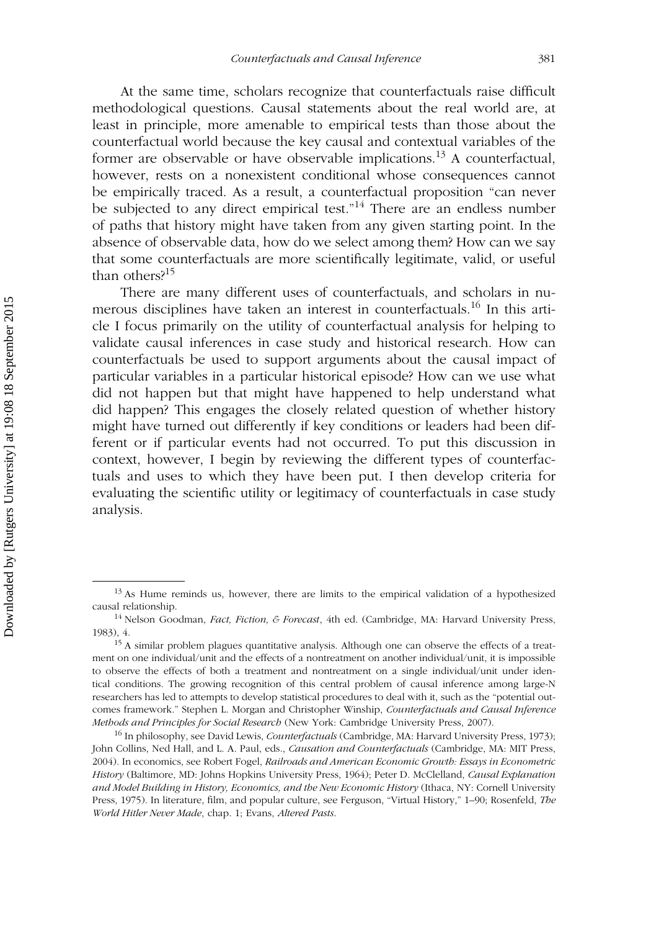At the same time, scholars recognize that counterfactuals raise difficult methodological questions. Causal statements about the real world are, at least in principle, more amenable to empirical tests than those about the counterfactual world because the key causal and contextual variables of the former are observable or have observable implications.<sup>13</sup> A counterfactual, however, rests on a nonexistent conditional whose consequences cannot be empirically traced. As a result, a counterfactual proposition "can never be subjected to any direct empirical test."<sup>14</sup> There are an endless number of paths that history might have taken from any given starting point. In the absence of observable data, how do we select among them? How can we say that some counterfactuals are more scientifically legitimate, valid, or useful than others?<sup>15</sup>

There are many different uses of counterfactuals, and scholars in numerous disciplines have taken an interest in counterfactuals.<sup>16</sup> In this article I focus primarily on the utility of counterfactual analysis for helping to validate causal inferences in case study and historical research. How can counterfactuals be used to support arguments about the causal impact of particular variables in a particular historical episode? How can we use what did not happen but that might have happened to help understand what did happen? This engages the closely related question of whether history might have turned out differently if key conditions or leaders had been different or if particular events had not occurred. To put this discussion in context, however, I begin by reviewing the different types of counterfactuals and uses to which they have been put. I then develop criteria for evaluating the scientific utility or legitimacy of counterfactuals in case study analysis.

<sup>&</sup>lt;sup>13</sup> As Hume reminds us, however, there are limits to the empirical validation of a hypothesized causal relationship.

<sup>14</sup> Nelson Goodman, *Fact, Fiction, & Forecast*, 4th ed. (Cambridge, MA: Harvard University Press, 1983), 4.

<sup>&</sup>lt;sup>15</sup> A similar problem plagues quantitative analysis. Although one can observe the effects of a treatment on one individual/unit and the effects of a nontreatment on another individual/unit, it is impossible to observe the effects of both a treatment and nontreatment on a single individual/unit under identical conditions. The growing recognition of this central problem of causal inference among large-N researchers has led to attempts to develop statistical procedures to deal with it, such as the "potential outcomes framework." Stephen L. Morgan and Christopher Winship, *Counterfactuals and Causal Inference Methods and Principles for Social Research* (New York: Cambridge University Press, 2007).

<sup>16</sup> In philosophy, see David Lewis, *Counterfactuals* (Cambridge, MA: Harvard University Press, 1973); John Collins, Ned Hall, and L. A. Paul, eds., *Causation and Counterfactuals* (Cambridge, MA: MIT Press, 2004). In economics, see Robert Fogel, *Railroads and American Economic Growth: Essays in Econometric History* (Baltimore, MD: Johns Hopkins University Press, 1964); Peter D. McClelland, *Causal Explanation and Model Building in History, Economics, and the New Economic History* (Ithaca, NY: Cornell University Press, 1975). In literature, film, and popular culture, see Ferguson, "Virtual History," 1–90; Rosenfeld, *The World Hitler Never Made*, chap. 1; Evans, *Altered Pasts*.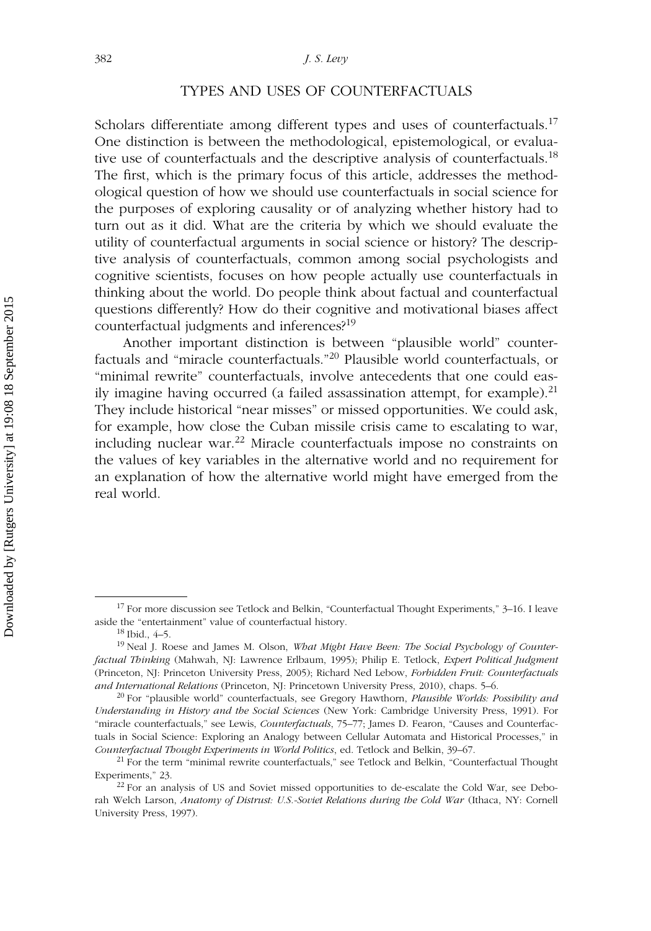### TYPES AND USES OF COUNTERFACTUALS

Scholars differentiate among different types and uses of counterfactuals.<sup>17</sup> One distinction is between the methodological, epistemological, or evaluative use of counterfactuals and the descriptive analysis of counterfactuals.<sup>18</sup> The first, which is the primary focus of this article, addresses the methodological question of how we should use counterfactuals in social science for the purposes of exploring causality or of analyzing whether history had to turn out as it did. What are the criteria by which we should evaluate the utility of counterfactual arguments in social science or history? The descriptive analysis of counterfactuals, common among social psychologists and cognitive scientists, focuses on how people actually use counterfactuals in thinking about the world. Do people think about factual and counterfactual questions differently? How do their cognitive and motivational biases affect counterfactual judgments and inferences?<sup>19</sup>

Another important distinction is between "plausible world" counterfactuals and "miracle counterfactuals."20 Plausible world counterfactuals, or "minimal rewrite" counterfactuals, involve antecedents that one could easily imagine having occurred (a failed assassination attempt, for example).<sup>21</sup> They include historical "near misses" or missed opportunities. We could ask, for example, how close the Cuban missile crisis came to escalating to war, including nuclear war.<sup>22</sup> Miracle counterfactuals impose no constraints on the values of key variables in the alternative world and no requirement for an explanation of how the alternative world might have emerged from the real world.

 $18$  Ibid.,  $4-5$ .

<sup>17</sup> For more discussion see Tetlock and Belkin, "Counterfactual Thought Experiments," 3–16. I leave aside the "entertainment" value of counterfactual history.

<sup>19</sup> Neal J. Roese and James M. Olson, *What Might Have Been: The Social Psychology of Counterfactual Thinking* (Mahwah, NJ: Lawrence Erlbaum, 1995); Philip E. Tetlock, *Expert Political Judgment* (Princeton, NJ: Princeton University Press, 2005); Richard Ned Lebow, *Forbidden Fruit: Counterfactuals and International Relations* (Princeton, NJ: Princetown University Press, 2010), chaps. 5–6.

<sup>20</sup> For "plausible world" counterfactuals, see Gregory Hawthorn, *Plausible Worlds: Possibility and Understanding in History and the Social Sciences* (New York: Cambridge University Press, 1991). For "miracle counterfactuals," see Lewis, *Counterfactuals*, 75–77; James D. Fearon, "Causes and Counterfactuals in Social Science: Exploring an Analogy between Cellular Automata and Historical Processes," in *Counterfactual Thought Experiments in World Politics*, ed. Tetlock and Belkin, 39–67.

<sup>&</sup>lt;sup>21</sup> For the term "minimal rewrite counterfactuals," see Tetlock and Belkin, "Counterfactual Thought Experiments," 23.

<sup>&</sup>lt;sup>22</sup> For an analysis of US and Soviet missed opportunities to de-escalate the Cold War, see Deborah Welch Larson, *Anatomy of Distrust: U.S.-Soviet Relations during the Cold War* (Ithaca, NY: Cornell University Press, 1997).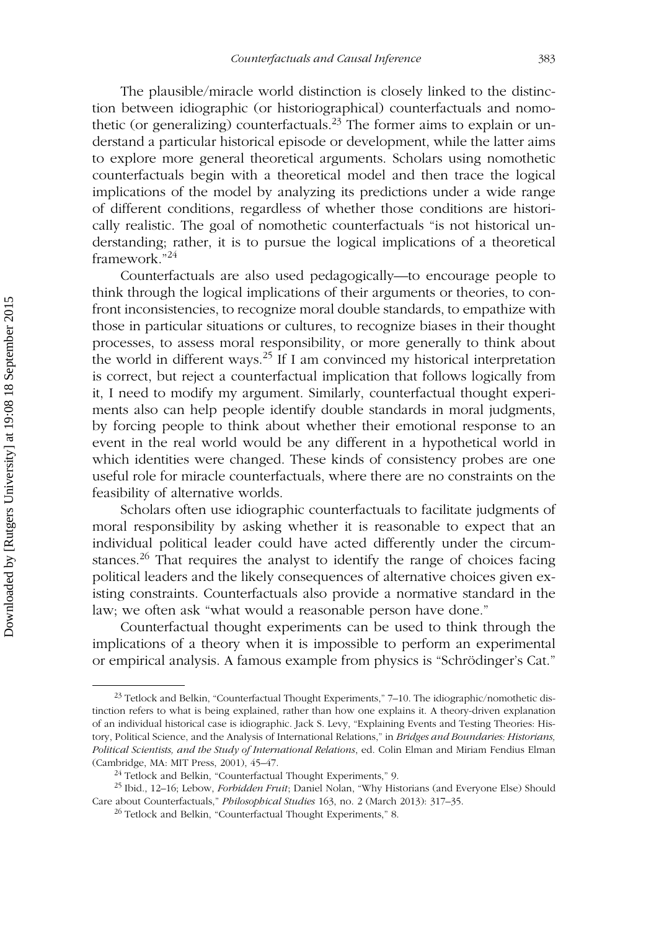The plausible/miracle world distinction is closely linked to the distinction between idiographic (or historiographical) counterfactuals and nomothetic (or generalizing) counterfactuals.<sup>23</sup> The former aims to explain or understand a particular historical episode or development, while the latter aims to explore more general theoretical arguments. Scholars using nomothetic counterfactuals begin with a theoretical model and then trace the logical implications of the model by analyzing its predictions under a wide range of different conditions, regardless of whether those conditions are historically realistic. The goal of nomothetic counterfactuals "is not historical understanding; rather, it is to pursue the logical implications of a theoretical framework."<sup>24</sup>

Counterfactuals are also used pedagogically—to encourage people to think through the logical implications of their arguments or theories, to confront inconsistencies, to recognize moral double standards, to empathize with those in particular situations or cultures, to recognize biases in their thought processes, to assess moral responsibility, or more generally to think about the world in different ways.25 If I am convinced my historical interpretation is correct, but reject a counterfactual implication that follows logically from it, I need to modify my argument. Similarly, counterfactual thought experiments also can help people identify double standards in moral judgments, by forcing people to think about whether their emotional response to an event in the real world would be any different in a hypothetical world in which identities were changed. These kinds of consistency probes are one useful role for miracle counterfactuals, where there are no constraints on the feasibility of alternative worlds.

Scholars often use idiographic counterfactuals to facilitate judgments of moral responsibility by asking whether it is reasonable to expect that an individual political leader could have acted differently under the circumstances.<sup>26</sup> That requires the analyst to identify the range of choices facing political leaders and the likely consequences of alternative choices given existing constraints. Counterfactuals also provide a normative standard in the law; we often ask "what would a reasonable person have done."

Counterfactual thought experiments can be used to think through the implications of a theory when it is impossible to perform an experimental or empirical analysis. A famous example from physics is "Schrodinger's Cat." ¨

<sup>&</sup>lt;sup>23</sup> Tetlock and Belkin, "Counterfactual Thought Experiments,"  $7-10$ . The idiographic/nomothetic distinction refers to what is being explained, rather than how one explains it. A theory-driven explanation of an individual historical case is idiographic. Jack S. Levy, "Explaining Events and Testing Theories: History, Political Science, and the Analysis of International Relations," in *Bridges and Boundaries: Historians, Political Scientists, and the Study of International Relations*, ed. Colin Elman and Miriam Fendius Elman (Cambridge, MA: MIT Press, 2001), 45–47.

<sup>24</sup> Tetlock and Belkin, "Counterfactual Thought Experiments," 9.

<sup>25</sup> Ibid., 12–16; Lebow, *Forbidden Fruit*; Daniel Nolan, "Why Historians (and Everyone Else) Should Care about Counterfactuals," *Philosophical Studies* 163, no. 2 (March 2013): 317–35.

<sup>&</sup>lt;sup>26</sup> Tetlock and Belkin, "Counterfactual Thought Experiments," 8.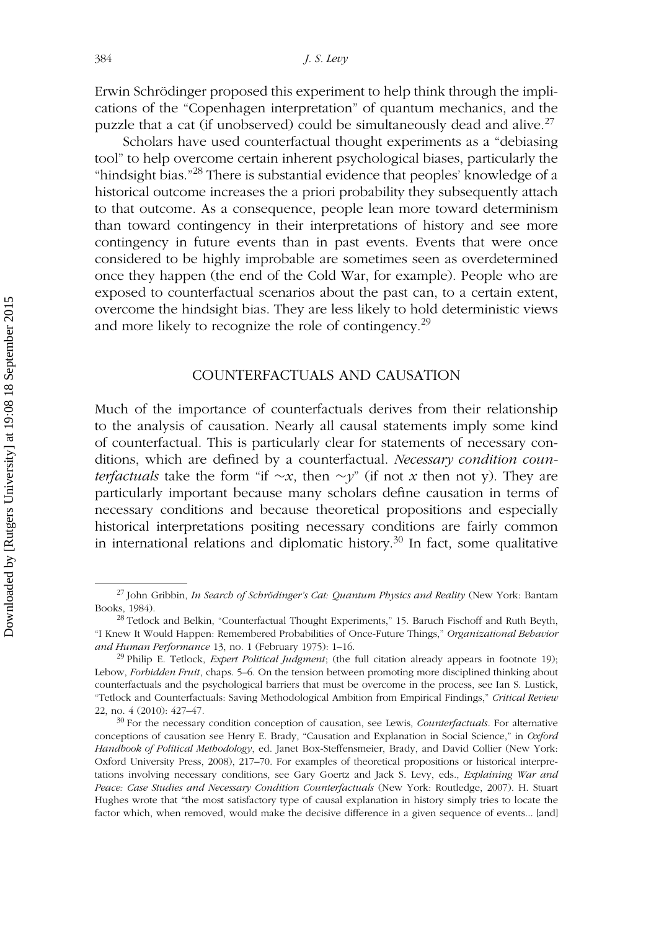Erwin Schrödinger proposed this experiment to help think through the implications of the "Copenhagen interpretation" of quantum mechanics, and the puzzle that a cat (if unobserved) could be simultaneously dead and alive.<sup>27</sup>

Scholars have used counterfactual thought experiments as a "debiasing tool" to help overcome certain inherent psychological biases, particularly the "hindsight bias."<sup>28</sup> There is substantial evidence that peoples' knowledge of a historical outcome increases the a priori probability they subsequently attach to that outcome. As a consequence, people lean more toward determinism than toward contingency in their interpretations of history and see more contingency in future events than in past events. Events that were once considered to be highly improbable are sometimes seen as overdetermined once they happen (the end of the Cold War, for example). People who are exposed to counterfactual scenarios about the past can, to a certain extent, overcome the hindsight bias. They are less likely to hold deterministic views and more likely to recognize the role of contingency.<sup>29</sup>

## COUNTERFACTUALS AND CAUSATION

Much of the importance of counterfactuals derives from their relationship to the analysis of causation. Nearly all causal statements imply some kind of counterfactual. This is particularly clear for statements of necessary conditions, which are defined by a counterfactual. *Necessary condition counterfactuals* take the form "if ∼*x*, then ∼*y*" (if not *x* then not y). They are particularly important because many scholars define causation in terms of necessary conditions and because theoretical propositions and especially historical interpretations positing necessary conditions are fairly common in international relations and diplomatic history.<sup>30</sup> In fact, some qualitative

<sup>&</sup>lt;sup>27</sup> John Gribbin, *In Search of Schrödinger's Cat: Quantum Physics and Reality* (New York: Bantam Books, 1984).

<sup>&</sup>lt;sup>28</sup> Tetlock and Belkin, "Counterfactual Thought Experiments," 15. Baruch Fischoff and Ruth Beyth, "I Knew It Would Happen: Remembered Probabilities of Once-Future Things," *Organizational Behavior and Human Performance* 13, no. 1 (February 1975): 1–16.

<sup>29</sup> Philip E. Tetlock, *Expert Political Judgment*; (the full citation already appears in footnote 19); Lebow, *Forbidden Fruit*, chaps. 5–6. On the tension between promoting more disciplined thinking about counterfactuals and the psychological barriers that must be overcome in the process, see Ian S. Lustick, "Tetlock and Counterfactuals: Saving Methodological Ambition from Empirical Findings," *Critical Review* 22, no. 4 (2010): 427–47.

<sup>&</sup>lt;sup>30</sup> For the necessary condition conception of causation, see Lewis, *Counterfactuals*. For alternative conceptions of causation see Henry E. Brady, "Causation and Explanation in Social Science," in *Oxford Handbook of Political Methodology*, ed. Janet Box-Steffensmeier, Brady, and David Collier (New York: Oxford University Press, 2008), 217–70. For examples of theoretical propositions or historical interpretations involving necessary conditions, see Gary Goertz and Jack S. Levy, eds., *Explaining War and Peace: Case Studies and Necessary Condition Counterfactuals* (New York: Routledge, 2007). H. Stuart Hughes wrote that "the most satisfactory type of causal explanation in history simply tries to locate the factor which, when removed, would make the decisive difference in a given sequence of events... [and]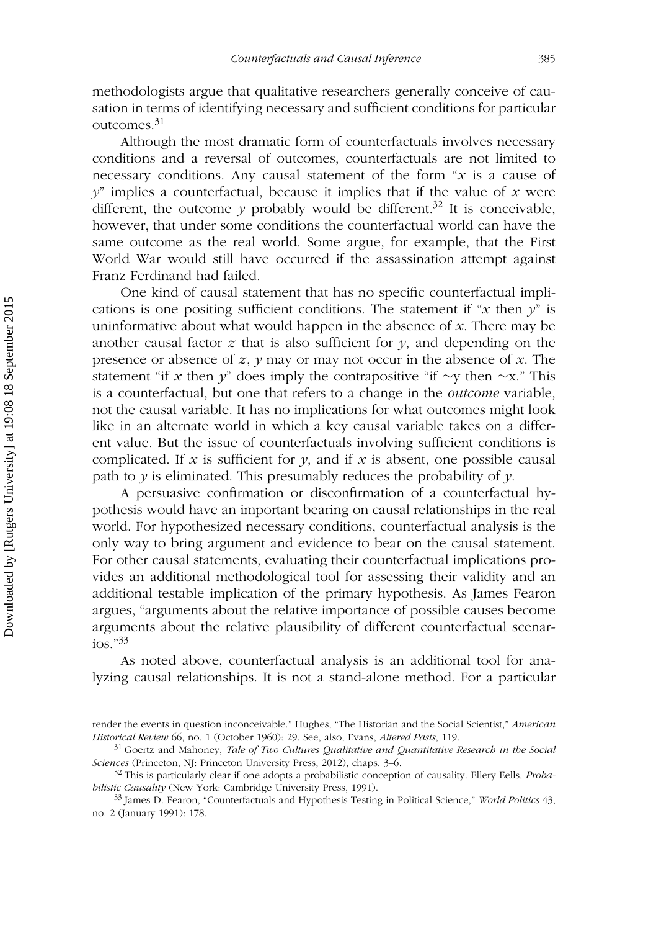methodologists argue that qualitative researchers generally conceive of causation in terms of identifying necessary and sufficient conditions for particular outcomes<sup>31</sup>

Although the most dramatic form of counterfactuals involves necessary conditions and a reversal of outcomes, counterfactuals are not limited to necessary conditions. Any causal statement of the form "*x* is a cause of  $y$ " implies a counterfactual, because it implies that if the value of  $x$  were different, the outcome  $y$  probably would be different.<sup>32</sup> It is conceivable, however, that under some conditions the counterfactual world can have the same outcome as the real world. Some argue, for example, that the First World War would still have occurred if the assassination attempt against Franz Ferdinand had failed.

One kind of causal statement that has no specific counterfactual implications is one positing sufficient conditions. The statement if " $x$  then  $y$ " is uninformative about what would happen in the absence of *x*. There may be another causal factor  $z$  that is also sufficient for  $y$ , and depending on the presence or absence of *z*, *y* may or may not occur in the absence of *x*. The statement "if *x* then *y*" does imply the contrapositive "if ∼y then ∼x." This is a counterfactual, but one that refers to a change in the *outcome* variable, not the causal variable. It has no implications for what outcomes might look like in an alternate world in which a key causal variable takes on a different value. But the issue of counterfactuals involving sufficient conditions is complicated. If  $x$  is sufficient for  $y$ , and if  $x$  is absent, one possible causal path to  $\gamma$  is eliminated. This presumably reduces the probability of  $\gamma$ .

A persuasive confirmation or disconfirmation of a counterfactual hypothesis would have an important bearing on causal relationships in the real world. For hypothesized necessary conditions, counterfactual analysis is the only way to bring argument and evidence to bear on the causal statement. For other causal statements, evaluating their counterfactual implications provides an additional methodological tool for assessing their validity and an additional testable implication of the primary hypothesis. As James Fearon argues, "arguments about the relative importance of possible causes become arguments about the relative plausibility of different counterfactual scenar- $\cos$ ."33

As noted above, counterfactual analysis is an additional tool for analyzing causal relationships. It is not a stand-alone method. For a particular

render the events in question inconceivable." Hughes, "The Historian and the Social Scientist," *American Historical Review* 66, no. 1 (October 1960): 29. See, also, Evans, *Altered Pasts*, 119.

<sup>31</sup> Goertz and Mahoney, *Tale of Two Cultures Qualitative and Quantitative Research in the Social Sciences* (Princeton, NJ: Princeton University Press, 2012), chaps. 3–6.

<sup>32</sup> This is particularly clear if one adopts a probabilistic conception of causality. Ellery Eells, *Probabilistic Causality* (New York: Cambridge University Press, 1991).

<sup>33</sup> James D. Fearon, "Counterfactuals and Hypothesis Testing in Political Science," *World Politics* 43, no. 2 (January 1991): 178.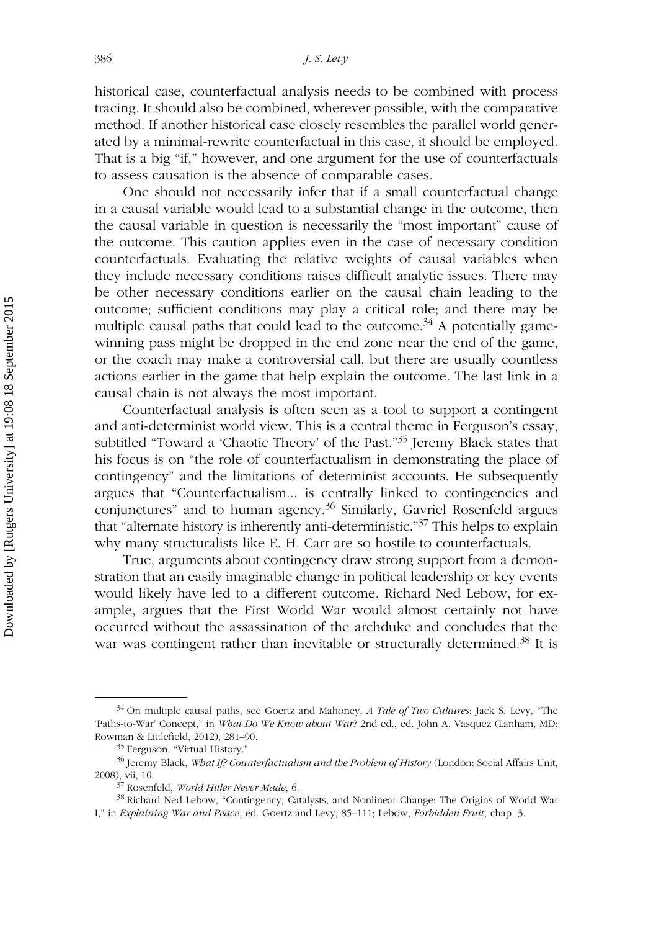historical case, counterfactual analysis needs to be combined with process tracing. It should also be combined, wherever possible, with the comparative method. If another historical case closely resembles the parallel world generated by a minimal-rewrite counterfactual in this case, it should be employed. That is a big "if," however, and one argument for the use of counterfactuals to assess causation is the absence of comparable cases.

One should not necessarily infer that if a small counterfactual change in a causal variable would lead to a substantial change in the outcome, then the causal variable in question is necessarily the "most important" cause of the outcome. This caution applies even in the case of necessary condition counterfactuals. Evaluating the relative weights of causal variables when they include necessary conditions raises difficult analytic issues. There may be other necessary conditions earlier on the causal chain leading to the outcome; sufficient conditions may play a critical role; and there may be multiple causal paths that could lead to the outcome.<sup>34</sup> A potentially gamewinning pass might be dropped in the end zone near the end of the game, or the coach may make a controversial call, but there are usually countless actions earlier in the game that help explain the outcome. The last link in a causal chain is not always the most important.

Counterfactual analysis is often seen as a tool to support a contingent and anti-determinist world view. This is a central theme in Ferguson's essay, subtitled "Toward a 'Chaotic Theory' of the Past."<sup>35</sup> Jeremy Black states that his focus is on "the role of counterfactualism in demonstrating the place of contingency" and the limitations of determinist accounts. He subsequently argues that "Counterfactualism... is centrally linked to contingencies and conjunctures" and to human agency.<sup>36</sup> Similarly, Gavriel Rosenfeld argues that "alternate history is inherently anti-deterministic."<sup>37</sup> This helps to explain why many structuralists like E. H. Carr are so hostile to counterfactuals.

True, arguments about contingency draw strong support from a demonstration that an easily imaginable change in political leadership or key events would likely have led to a different outcome. Richard Ned Lebow, for example, argues that the First World War would almost certainly not have occurred without the assassination of the archduke and concludes that the war was contingent rather than inevitable or structurally determined.<sup>38</sup> It is

<sup>34</sup> On multiple causal paths, see Goertz and Mahoney, *A Tale of Two Cultures*; Jack S. Levy, "The 'Paths-to-War' Concept," in *What Do We Know about War*? 2nd ed., ed. John A. Vasquez (Lanham, MD: Rowman & Littlefield, 2012), 281–90.

<sup>35</sup> Ferguson, "Virtual History."

<sup>36</sup> Jeremy Black, *What If? Counterfactualism and the Problem of History* (London: Social Affairs Unit, 2008), vii, 10.

<sup>37</sup> Rosenfeld, *World Hitler Never Made*, 6.

<sup>&</sup>lt;sup>38</sup> Richard Ned Lebow, "Contingency, Catalysts, and Nonlinear Change: The Origins of World War I," in *Explaining War and Peace*, ed. Goertz and Levy, 85–111; Lebow, *Forbidden Fruit*, chap. 3.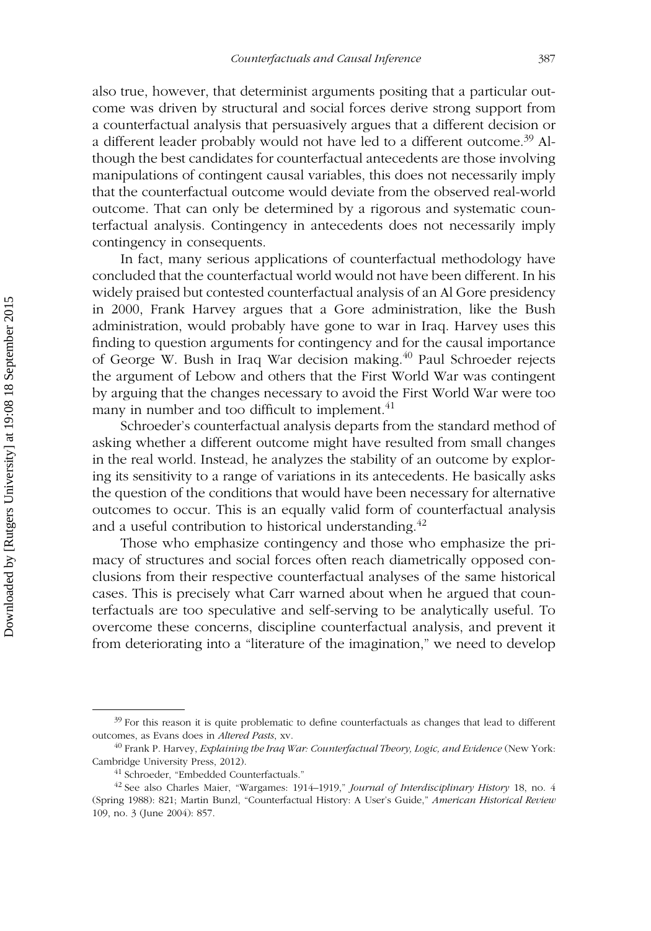also true, however, that determinist arguments positing that a particular outcome was driven by structural and social forces derive strong support from a counterfactual analysis that persuasively argues that a different decision or a different leader probably would not have led to a different outcome.<sup>39</sup> Although the best candidates for counterfactual antecedents are those involving manipulations of contingent causal variables, this does not necessarily imply that the counterfactual outcome would deviate from the observed real-world outcome. That can only be determined by a rigorous and systematic counterfactual analysis. Contingency in antecedents does not necessarily imply contingency in consequents.

In fact, many serious applications of counterfactual methodology have concluded that the counterfactual world would not have been different. In his widely praised but contested counterfactual analysis of an Al Gore presidency in 2000, Frank Harvey argues that a Gore administration, like the Bush administration, would probably have gone to war in Iraq. Harvey uses this finding to question arguments for contingency and for the causal importance of George W. Bush in Iraq War decision making.<sup>40</sup> Paul Schroeder rejects the argument of Lebow and others that the First World War was contingent by arguing that the changes necessary to avoid the First World War were too many in number and too difficult to implement. $41$ 

Schroeder's counterfactual analysis departs from the standard method of asking whether a different outcome might have resulted from small changes in the real world. Instead, he analyzes the stability of an outcome by exploring its sensitivity to a range of variations in its antecedents. He basically asks the question of the conditions that would have been necessary for alternative outcomes to occur. This is an equally valid form of counterfactual analysis and a useful contribution to historical understanding.<sup>42</sup>

Those who emphasize contingency and those who emphasize the primacy of structures and social forces often reach diametrically opposed conclusions from their respective counterfactual analyses of the same historical cases. This is precisely what Carr warned about when he argued that counterfactuals are too speculative and self-serving to be analytically useful. To overcome these concerns, discipline counterfactual analysis, and prevent it from deteriorating into a "literature of the imagination," we need to develop

<sup>&</sup>lt;sup>39</sup> For this reason it is quite problematic to define counterfactuals as changes that lead to different outcomes, as Evans does in *Altered Pasts*, xv.

<sup>40</sup> Frank P. Harvey, *Explaining the Iraq War: Counterfactual Theory, Logic, and Evidence* (New York: Cambridge University Press, 2012).

<sup>41</sup> Schroeder, "Embedded Counterfactuals."

<sup>42</sup> See also Charles Maier, "Wargames: 1914–1919," *Journal of Interdisciplinary History* 18, no. 4 (Spring 1988): 821; Martin Bunzl, "Counterfactual History: A User's Guide," *American Historical Review* 109, no. 3 (June 2004): 857.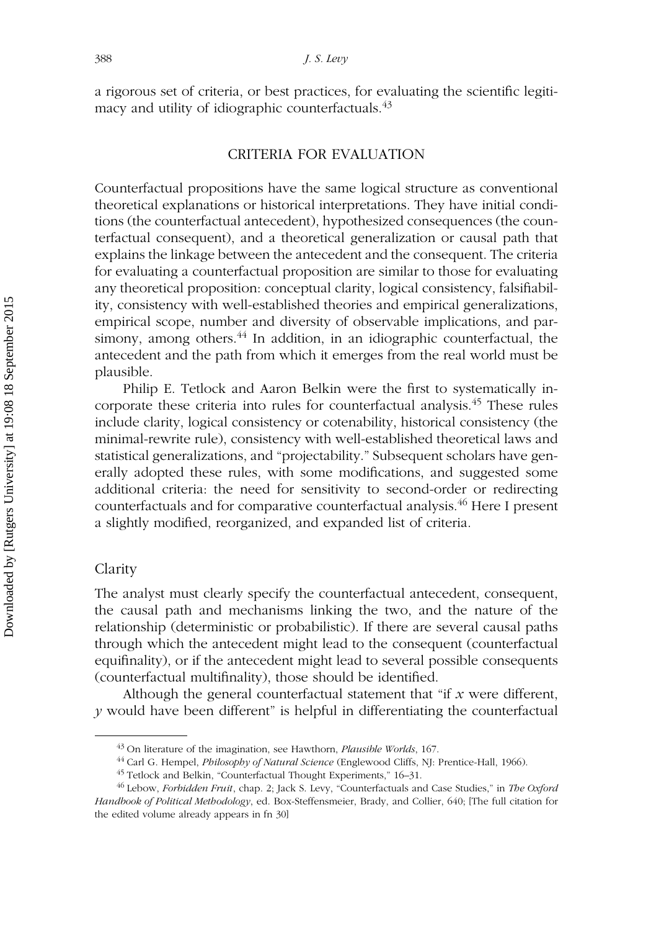a rigorous set of criteria, or best practices, for evaluating the scientific legitimacy and utility of idiographic counterfactuals.<sup>43</sup>

## CRITERIA FOR EVALUATION

Counterfactual propositions have the same logical structure as conventional theoretical explanations or historical interpretations. They have initial conditions (the counterfactual antecedent), hypothesized consequences (the counterfactual consequent), and a theoretical generalization or causal path that explains the linkage between the antecedent and the consequent. The criteria for evaluating a counterfactual proposition are similar to those for evaluating any theoretical proposition: conceptual clarity, logical consistency, falsifiability, consistency with well-established theories and empirical generalizations, empirical scope, number and diversity of observable implications, and parsimony, among others. $^{44}$  In addition, in an idiographic counterfactual, the antecedent and the path from which it emerges from the real world must be plausible.

Philip E. Tetlock and Aaron Belkin were the first to systematically incorporate these criteria into rules for counterfactual analysis. $45$  These rules include clarity, logical consistency or cotenability, historical consistency (the minimal-rewrite rule), consistency with well-established theoretical laws and statistical generalizations, and "projectability." Subsequent scholars have generally adopted these rules, with some modifications, and suggested some additional criteria: the need for sensitivity to second-order or redirecting counterfactuals and for comparative counterfactual analysis.<sup>46</sup> Here I present a slightly modified, reorganized, and expanded list of criteria.

#### Clarity

The analyst must clearly specify the counterfactual antecedent, consequent, the causal path and mechanisms linking the two, and the nature of the relationship (deterministic or probabilistic). If there are several causal paths through which the antecedent might lead to the consequent (counterfactual equifinality), or if the antecedent might lead to several possible consequents (counterfactual multifinality), those should be identified.

Although the general counterfactual statement that "if *x* were different, *y* would have been different" is helpful in differentiating the counterfactual

<sup>43</sup> On literature of the imagination, see Hawthorn, *Plausible Worlds*, 167.

<sup>44</sup> Carl G. Hempel, *Philosophy of Natural Science* (Englewood Cliffs, NJ: Prentice-Hall, 1966).

<sup>45</sup> Tetlock and Belkin, "Counterfactual Thought Experiments," 16–31.

<sup>46</sup> Lebow, *Forbidden Fruit*, chap. 2; Jack S. Levy, "Counterfactuals and Case Studies," in *The Oxford Handbook of Political Methodology*, ed. Box-Steffensmeier, Brady, and Collier, 640; [The full citation for the edited volume already appears in fn 30]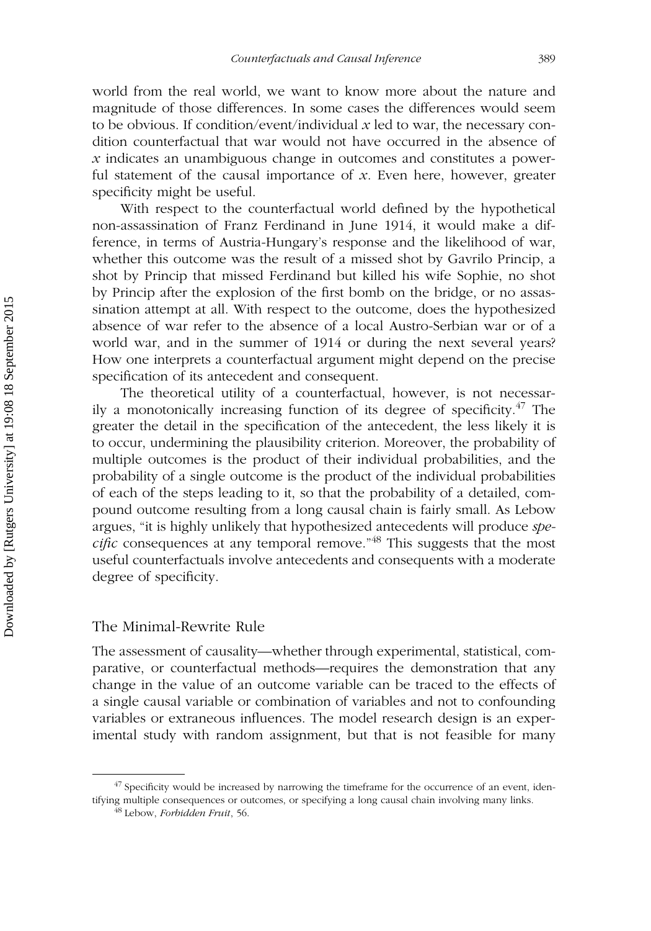world from the real world, we want to know more about the nature and magnitude of those differences. In some cases the differences would seem to be obvious. If condition/event/individual *x* led to war, the necessary condition counterfactual that war would not have occurred in the absence of *x* indicates an unambiguous change in outcomes and constitutes a powerful statement of the causal importance of *x*. Even here, however, greater specificity might be useful.

With respect to the counterfactual world defined by the hypothetical non-assassination of Franz Ferdinand in June 1914, it would make a difference, in terms of Austria-Hungary's response and the likelihood of war, whether this outcome was the result of a missed shot by Gavrilo Princip, a shot by Princip that missed Ferdinand but killed his wife Sophie, no shot by Princip after the explosion of the first bomb on the bridge, or no assassination attempt at all. With respect to the outcome, does the hypothesized absence of war refer to the absence of a local Austro-Serbian war or of a world war, and in the summer of 1914 or during the next several years? How one interprets a counterfactual argument might depend on the precise specification of its antecedent and consequent.

The theoretical utility of a counterfactual, however, is not necessarily a monotonically increasing function of its degree of specificity.<sup>47</sup> The greater the detail in the specification of the antecedent, the less likely it is to occur, undermining the plausibility criterion. Moreover, the probability of multiple outcomes is the product of their individual probabilities, and the probability of a single outcome is the product of the individual probabilities of each of the steps leading to it, so that the probability of a detailed, compound outcome resulting from a long causal chain is fairly small. As Lebow argues, "it is highly unlikely that hypothesized antecedents will produce *specific* consequences at any temporal remove."<sup>48</sup> This suggests that the most useful counterfactuals involve antecedents and consequents with a moderate degree of specificity.

### The Minimal-Rewrite Rule

The assessment of causality—whether through experimental, statistical, comparative, or counterfactual methods—requires the demonstration that any change in the value of an outcome variable can be traced to the effects of a single causal variable or combination of variables and not to confounding variables or extraneous influences. The model research design is an experimental study with random assignment, but that is not feasible for many

 $47$  Specificity would be increased by narrowing the timeframe for the occurrence of an event, identifying multiple consequences or outcomes, or specifying a long causal chain involving many links.

<sup>48</sup> Lebow, *Forbidden Fruit*, 56.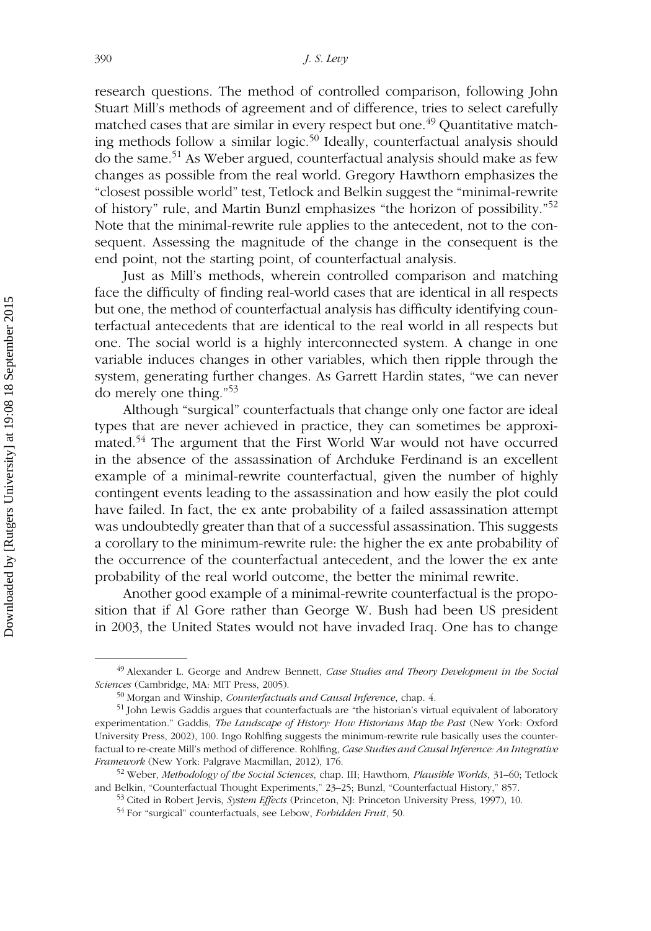research questions. The method of controlled comparison, following John Stuart Mill's methods of agreement and of difference, tries to select carefully matched cases that are similar in every respect but one.<sup>49</sup> Quantitative matching methods follow a similar logic.<sup>50</sup> Ideally, counterfactual analysis should do the same.<sup>51</sup> As Weber argued, counterfactual analysis should make as few changes as possible from the real world. Gregory Hawthorn emphasizes the "closest possible world" test, Tetlock and Belkin suggest the "minimal-rewrite of history" rule, and Martin Bunzl emphasizes "the horizon of possibility."52 Note that the minimal-rewrite rule applies to the antecedent, not to the consequent. Assessing the magnitude of the change in the consequent is the end point, not the starting point, of counterfactual analysis.

Just as Mill's methods, wherein controlled comparison and matching face the difficulty of finding real-world cases that are identical in all respects but one, the method of counterfactual analysis has difficulty identifying counterfactual antecedents that are identical to the real world in all respects but one. The social world is a highly interconnected system. A change in one variable induces changes in other variables, which then ripple through the system, generating further changes. As Garrett Hardin states, "we can never do merely one thing."<sup>53</sup>

Although "surgical" counterfactuals that change only one factor are ideal types that are never achieved in practice, they can sometimes be approximated.<sup>54</sup> The argument that the First World War would not have occurred in the absence of the assassination of Archduke Ferdinand is an excellent example of a minimal-rewrite counterfactual, given the number of highly contingent events leading to the assassination and how easily the plot could have failed. In fact, the ex ante probability of a failed assassination attempt was undoubtedly greater than that of a successful assassination. This suggests a corollary to the minimum-rewrite rule: the higher the ex ante probability of the occurrence of the counterfactual antecedent, and the lower the ex ante probability of the real world outcome, the better the minimal rewrite.

Another good example of a minimal-rewrite counterfactual is the proposition that if Al Gore rather than George W. Bush had been US president in 2003, the United States would not have invaded Iraq. One has to change

<sup>49</sup> Alexander L. George and Andrew Bennett, *Case Studies and Theory Development in the Social Sciences* (Cambridge, MA: MIT Press, 2005).

<sup>50</sup> Morgan and Winship, *Counterfactuals and Causal Inference*, chap. 4.

<sup>&</sup>lt;sup>51</sup> John Lewis Gaddis argues that counterfactuals are "the historian's virtual equivalent of laboratory experimentation." Gaddis, *The Landscape of History: How Historians Map the Past* (New York: Oxford University Press, 2002), 100. Ingo Rohlfing suggests the minimum-rewrite rule basically uses the counterfactual to re-create Mill's method of difference. Rohlfing, *Case Studies and Causal Inference: An Integrative Framework* (New York: Palgrave Macmillan, 2012), 176.

<sup>52</sup> Weber, *Methodology of the Social Sciences*, chap. III; Hawthorn, *Plausible Worlds*, 31–60; Tetlock and Belkin, "Counterfactual Thought Experiments," 23–25; Bunzl, "Counterfactual History," 857.

<sup>53</sup> Cited in Robert Jervis, *System Effects* (Princeton, NJ: Princeton University Press, 1997), 10.

<sup>54</sup> For "surgical" counterfactuals, see Lebow, *Forbidden Fruit*, 50.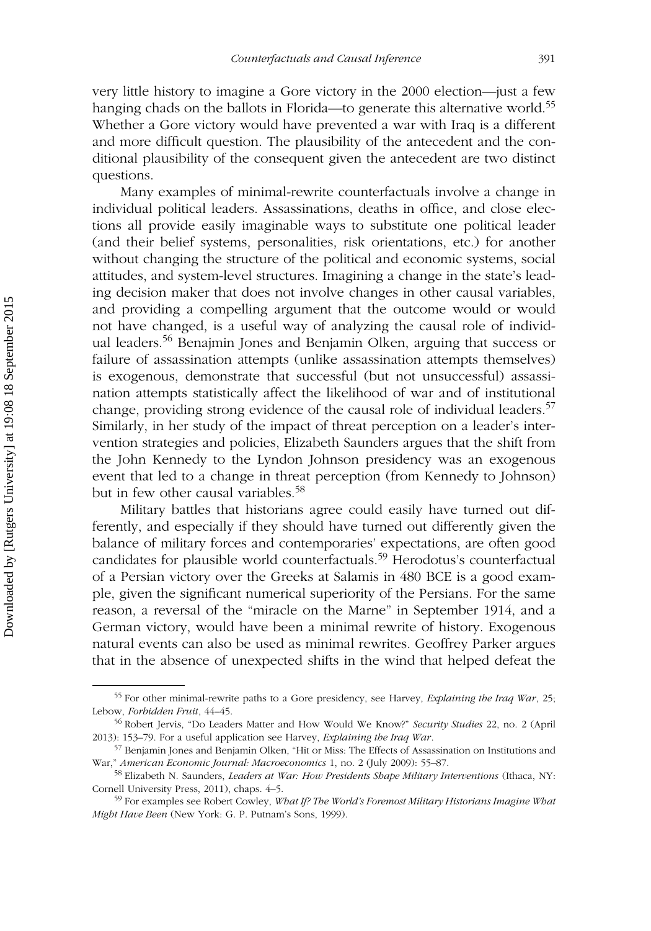very little history to imagine a Gore victory in the 2000 election—just a few hanging chads on the ballots in Florida—to generate this alternative world.<sup>55</sup> Whether a Gore victory would have prevented a war with Iraq is a different and more difficult question. The plausibility of the antecedent and the conditional plausibility of the consequent given the antecedent are two distinct questions.

Many examples of minimal-rewrite counterfactuals involve a change in individual political leaders. Assassinations, deaths in office, and close elections all provide easily imaginable ways to substitute one political leader (and their belief systems, personalities, risk orientations, etc.) for another without changing the structure of the political and economic systems, social attitudes, and system-level structures. Imagining a change in the state's leading decision maker that does not involve changes in other causal variables, and providing a compelling argument that the outcome would or would not have changed, is a useful way of analyzing the causal role of individual leaders.<sup>56</sup> Benajmin Jones and Benjamin Olken, arguing that success or failure of assassination attempts (unlike assassination attempts themselves) is exogenous, demonstrate that successful (but not unsuccessful) assassination attempts statistically affect the likelihood of war and of institutional change, providing strong evidence of the causal role of individual leaders.<sup>57</sup> Similarly, in her study of the impact of threat perception on a leader's intervention strategies and policies, Elizabeth Saunders argues that the shift from the John Kennedy to the Lyndon Johnson presidency was an exogenous event that led to a change in threat perception (from Kennedy to Johnson) but in few other causal variables.<sup>58</sup>

Military battles that historians agree could easily have turned out differently, and especially if they should have turned out differently given the balance of military forces and contemporaries' expectations, are often good candidates for plausible world counterfactuals.<sup>59</sup> Herodotus's counterfactual of a Persian victory over the Greeks at Salamis in 480 BCE is a good example, given the significant numerical superiority of the Persians. For the same reason, a reversal of the "miracle on the Marne" in September 1914, and a German victory, would have been a minimal rewrite of history. Exogenous natural events can also be used as minimal rewrites. Geoffrey Parker argues that in the absence of unexpected shifts in the wind that helped defeat the

<sup>55</sup> For other minimal-rewrite paths to a Gore presidency, see Harvey, *Explaining the Iraq War*, 25; Lebow, *Forbidden Fruit*, 44–45.

<sup>56</sup> Robert Jervis, "Do Leaders Matter and How Would We Know?" *Security Studies* 22, no. 2 (April 2013): 153–79. For a useful application see Harvey, *Explaining the Iraq War*.

<sup>57</sup> Benjamin Jones and Benjamin Olken, "Hit or Miss: The Effects of Assassination on Institutions and War," *American Economic Journal: Macroeconomics* 1, no. 2 (July 2009): 55–87.

<sup>58</sup> Elizabeth N. Saunders, *Leaders at War: How Presidents Shape Military Interventions* (Ithaca, NY: Cornell University Press, 2011), chaps. 4–5.

<sup>59</sup> For examples see Robert Cowley, *What If? The World's Foremost Military Historians Imagine What Might Have Been* (New York: G. P. Putnam's Sons, 1999).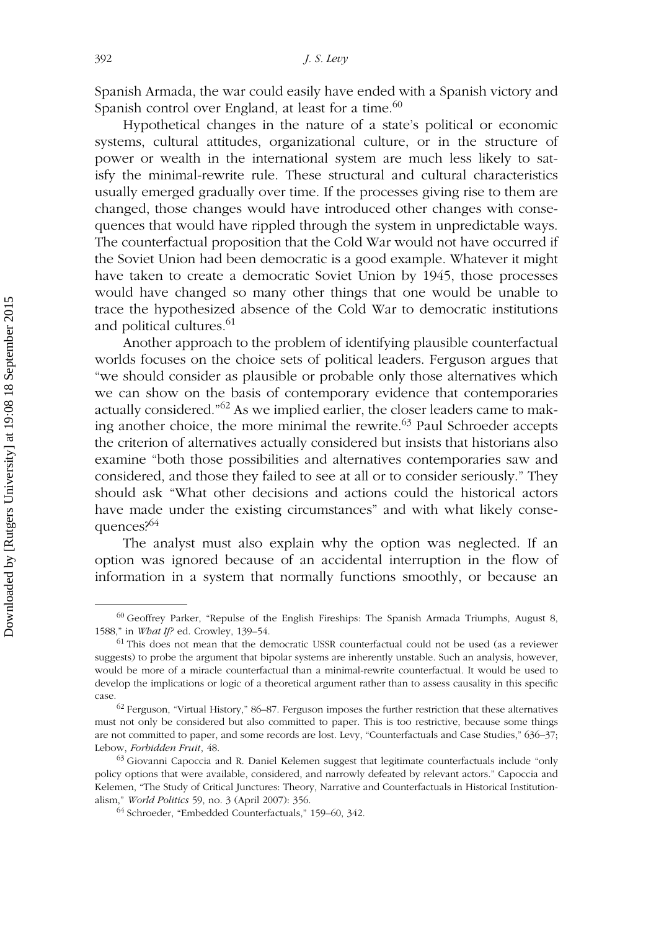Spanish Armada, the war could easily have ended with a Spanish victory and Spanish control over England, at least for a time. $60$ 

Hypothetical changes in the nature of a state's political or economic systems, cultural attitudes, organizational culture, or in the structure of power or wealth in the international system are much less likely to satisfy the minimal-rewrite rule. These structural and cultural characteristics usually emerged gradually over time. If the processes giving rise to them are changed, those changes would have introduced other changes with consequences that would have rippled through the system in unpredictable ways. The counterfactual proposition that the Cold War would not have occurred if the Soviet Union had been democratic is a good example. Whatever it might have taken to create a democratic Soviet Union by 1945, those processes would have changed so many other things that one would be unable to trace the hypothesized absence of the Cold War to democratic institutions and political cultures.<sup>61</sup>

Another approach to the problem of identifying plausible counterfactual worlds focuses on the choice sets of political leaders. Ferguson argues that "we should consider as plausible or probable only those alternatives which we can show on the basis of contemporary evidence that contemporaries actually considered." $62$  As we implied earlier, the closer leaders came to making another choice, the more minimal the rewrite. $63$  Paul Schroeder accepts the criterion of alternatives actually considered but insists that historians also examine "both those possibilities and alternatives contemporaries saw and considered, and those they failed to see at all or to consider seriously." They should ask "What other decisions and actions could the historical actors have made under the existing circumstances" and with what likely consequences?<sup>64</sup>

The analyst must also explain why the option was neglected. If an option was ignored because of an accidental interruption in the flow of information in a system that normally functions smoothly, or because an

<sup>60</sup> Geoffrey Parker, "Repulse of the English Fireships: The Spanish Armada Triumphs, August 8, 1588," in *What If?* ed. Crowley, 139–54.

 $61$  This does not mean that the democratic USSR counterfactual could not be used (as a reviewer suggests) to probe the argument that bipolar systems are inherently unstable. Such an analysis, however, would be more of a miracle counterfactual than a minimal-rewrite counterfactual. It would be used to develop the implications or logic of a theoretical argument rather than to assess causality in this specific

case.<br> $62$  Ferguson, "Virtual History," 86–87. Ferguson imposes the further restriction that these alternatives must not only be considered but also committed to paper. This is too restrictive, because some things are not committed to paper, and some records are lost. Levy, "Counterfactuals and Case Studies," 636–37; Lebow, *Forbidden Fruit*, 48.

<sup>&</sup>lt;sup>63</sup> Giovanni Capoccia and R. Daniel Kelemen suggest that legitimate counterfactuals include "only policy options that were available, considered, and narrowly defeated by relevant actors." Capoccia and Kelemen, "The Study of Critical Junctures: Theory, Narrative and Counterfactuals in Historical Institutionalism," *World Politics* 59, no. 3 (April 2007): 356.

<sup>64</sup> Schroeder, "Embedded Counterfactuals," 159–60, 342.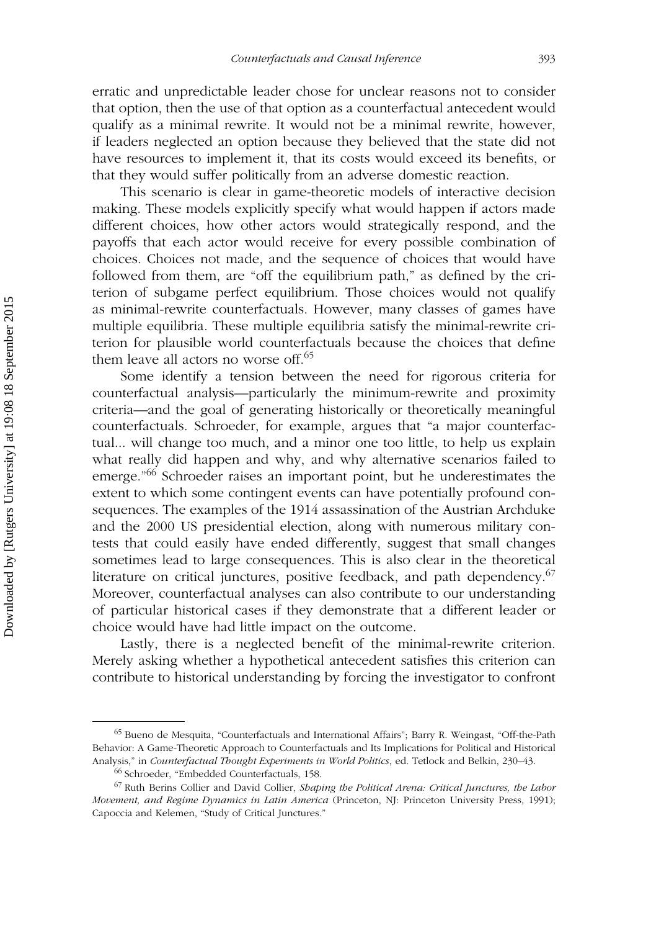erratic and unpredictable leader chose for unclear reasons not to consider that option, then the use of that option as a counterfactual antecedent would qualify as a minimal rewrite. It would not be a minimal rewrite, however, if leaders neglected an option because they believed that the state did not have resources to implement it, that its costs would exceed its benefits, or that they would suffer politically from an adverse domestic reaction.

This scenario is clear in game-theoretic models of interactive decision making. These models explicitly specify what would happen if actors made different choices, how other actors would strategically respond, and the payoffs that each actor would receive for every possible combination of choices. Choices not made, and the sequence of choices that would have followed from them, are "off the equilibrium path," as defined by the criterion of subgame perfect equilibrium. Those choices would not qualify as minimal-rewrite counterfactuals. However, many classes of games have multiple equilibria. These multiple equilibria satisfy the minimal-rewrite criterion for plausible world counterfactuals because the choices that define them leave all actors no worse off.<sup>65</sup>

Some identify a tension between the need for rigorous criteria for counterfactual analysis—particularly the minimum-rewrite and proximity criteria—and the goal of generating historically or theoretically meaningful counterfactuals. Schroeder, for example, argues that "a major counterfactual... will change too much, and a minor one too little, to help us explain what really did happen and why, and why alternative scenarios failed to emerge."<sup>66</sup> Schroeder raises an important point, but he underestimates the extent to which some contingent events can have potentially profound consequences. The examples of the 1914 assassination of the Austrian Archduke and the 2000 US presidential election, along with numerous military contests that could easily have ended differently, suggest that small changes sometimes lead to large consequences. This is also clear in the theoretical literature on critical junctures, positive feedback, and path dependency.<sup>67</sup> Moreover, counterfactual analyses can also contribute to our understanding of particular historical cases if they demonstrate that a different leader or choice would have had little impact on the outcome.

Lastly, there is a neglected benefit of the minimal-rewrite criterion. Merely asking whether a hypothetical antecedent satisfies this criterion can contribute to historical understanding by forcing the investigator to confront

<sup>65</sup> Bueno de Mesquita, "Counterfactuals and International Affairs"; Barry R. Weingast, "Off-the-Path Behavior: A Game-Theoretic Approach to Counterfactuals and Its Implications for Political and Historical Analysis," in *Counterfactual Thought Experiments in World Politics*, ed. Tetlock and Belkin, 230–43.

<sup>66</sup> Schroeder, "Embedded Counterfactuals, 158.

<sup>67</sup> Ruth Berins Collier and David Collier, *Shaping the Political Arena: Critical Junctures, the Labor Movement, and Regime Dynamics in Latin America* (Princeton, NJ: Princeton University Press, 1991); Capoccia and Kelemen, "Study of Critical Junctures."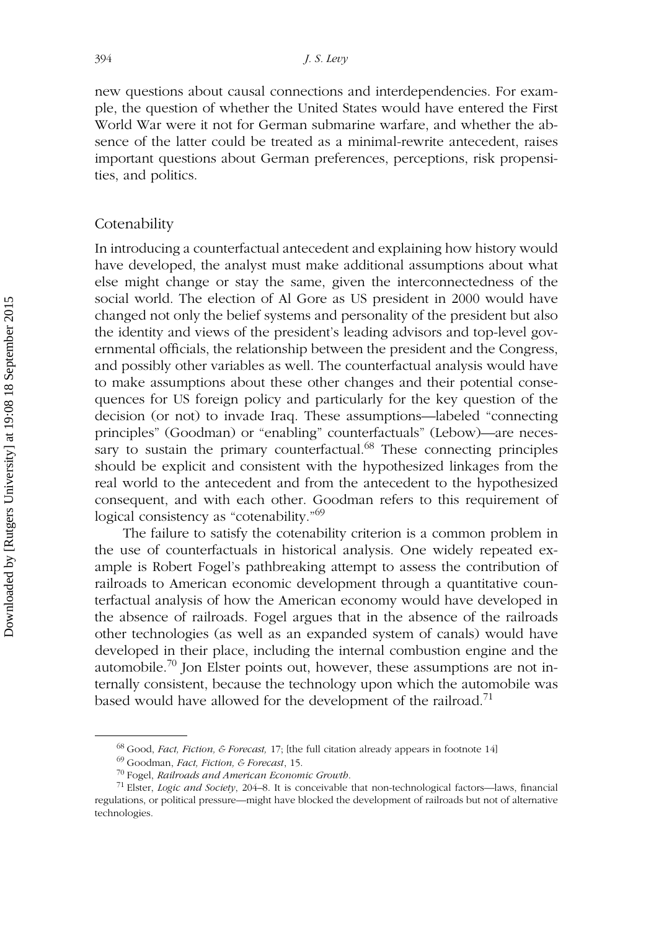new questions about causal connections and interdependencies. For example, the question of whether the United States would have entered the First World War were it not for German submarine warfare, and whether the absence of the latter could be treated as a minimal-rewrite antecedent, raises important questions about German preferences, perceptions, risk propensities, and politics.

## Cotenability

In introducing a counterfactual antecedent and explaining how history would have developed, the analyst must make additional assumptions about what else might change or stay the same, given the interconnectedness of the social world. The election of Al Gore as US president in 2000 would have changed not only the belief systems and personality of the president but also the identity and views of the president's leading advisors and top-level governmental officials, the relationship between the president and the Congress, and possibly other variables as well. The counterfactual analysis would have to make assumptions about these other changes and their potential consequences for US foreign policy and particularly for the key question of the decision (or not) to invade Iraq. These assumptions—labeled "connecting principles" (Goodman) or "enabling" counterfactuals" (Lebow)—are necessary to sustain the primary counterfactual. $68$  These connecting principles should be explicit and consistent with the hypothesized linkages from the real world to the antecedent and from the antecedent to the hypothesized consequent, and with each other. Goodman refers to this requirement of logical consistency as "cotenability."69

The failure to satisfy the cotenability criterion is a common problem in the use of counterfactuals in historical analysis. One widely repeated example is Robert Fogel's pathbreaking attempt to assess the contribution of railroads to American economic development through a quantitative counterfactual analysis of how the American economy would have developed in the absence of railroads. Fogel argues that in the absence of the railroads other technologies (as well as an expanded system of canals) would have developed in their place, including the internal combustion engine and the automobile.<sup>70</sup> Jon Elster points out, however, these assumptions are not internally consistent, because the technology upon which the automobile was based would have allowed for the development of the railroad.<sup>71</sup>

<sup>68</sup> Good, *Fact, Fiction, & Forecast,* 17; [the full citation already appears in footnote 14]

<sup>69</sup> Goodman, *Fact, Fiction, & Forecast*, 15.

<sup>70</sup> Fogel, *Railroads and American Economic Growth*.

<sup>71</sup> Elster, *Logic and Society*, 204–8. It is conceivable that non-technological factors—laws, financial regulations, or political pressure—might have blocked the development of railroads but not of alternative technologies.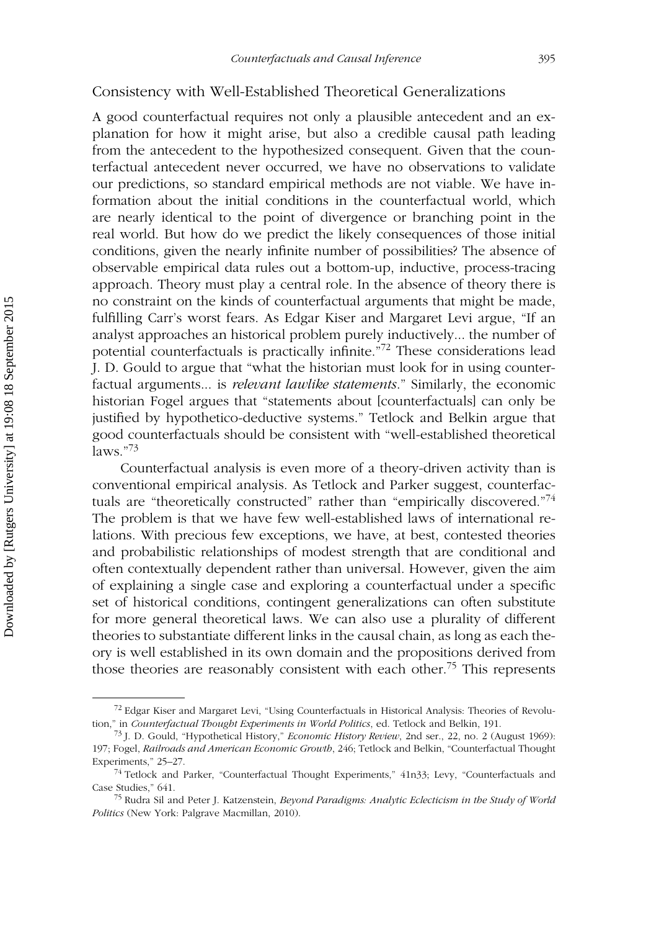## Consistency with Well-Established Theoretical Generalizations

A good counterfactual requires not only a plausible antecedent and an explanation for how it might arise, but also a credible causal path leading from the antecedent to the hypothesized consequent. Given that the counterfactual antecedent never occurred, we have no observations to validate our predictions, so standard empirical methods are not viable. We have information about the initial conditions in the counterfactual world, which are nearly identical to the point of divergence or branching point in the real world. But how do we predict the likely consequences of those initial conditions, given the nearly infinite number of possibilities? The absence of observable empirical data rules out a bottom-up, inductive, process-tracing approach. Theory must play a central role. In the absence of theory there is no constraint on the kinds of counterfactual arguments that might be made, fulfilling Carr's worst fears. As Edgar Kiser and Margaret Levi argue, "If an analyst approaches an historical problem purely inductively... the number of potential counterfactuals is practically infinite."72 These considerations lead J. D. Gould to argue that "what the historian must look for in using counterfactual arguments... is *relevant lawlike statements*." Similarly, the economic historian Fogel argues that "statements about [counterfactuals] can only be justified by hypothetico-deductive systems." Tetlock and Belkin argue that good counterfactuals should be consistent with "well-established theoretical  $\text{laws.}$ "73

Counterfactual analysis is even more of a theory-driven activity than is conventional empirical analysis. As Tetlock and Parker suggest, counterfactuals are "theoretically constructed" rather than "empirically discovered."74 The problem is that we have few well-established laws of international relations. With precious few exceptions, we have, at best, contested theories and probabilistic relationships of modest strength that are conditional and often contextually dependent rather than universal. However, given the aim of explaining a single case and exploring a counterfactual under a specific set of historical conditions, contingent generalizations can often substitute for more general theoretical laws. We can also use a plurality of different theories to substantiate different links in the causal chain, as long as each theory is well established in its own domain and the propositions derived from those theories are reasonably consistent with each other.<sup>75</sup> This represents

<sup>72</sup> Edgar Kiser and Margaret Levi, "Using Counterfactuals in Historical Analysis: Theories of Revolution," in *Counterfactual Thought Experiments in World Politics*, ed. Tetlock and Belkin, 191.

<sup>73</sup> J. D. Gould, "Hypothetical History," *Economic History Review*, 2nd ser., 22, no. 2 (August 1969): 197; Fogel, *Railroads and American Economic Growth*, 246; Tetlock and Belkin, "Counterfactual Thought Experiments," 25–27.

<sup>&</sup>lt;sup>74</sup> Tetlock and Parker, "Counterfactual Thought Experiments," 41n33; Levy, "Counterfactuals and Case Studies," 641.

<sup>75</sup> Rudra Sil and Peter J. Katzenstein, *Beyond Paradigms: Analytic Eclecticism in the Study of World Politics* (New York: Palgrave Macmillan, 2010).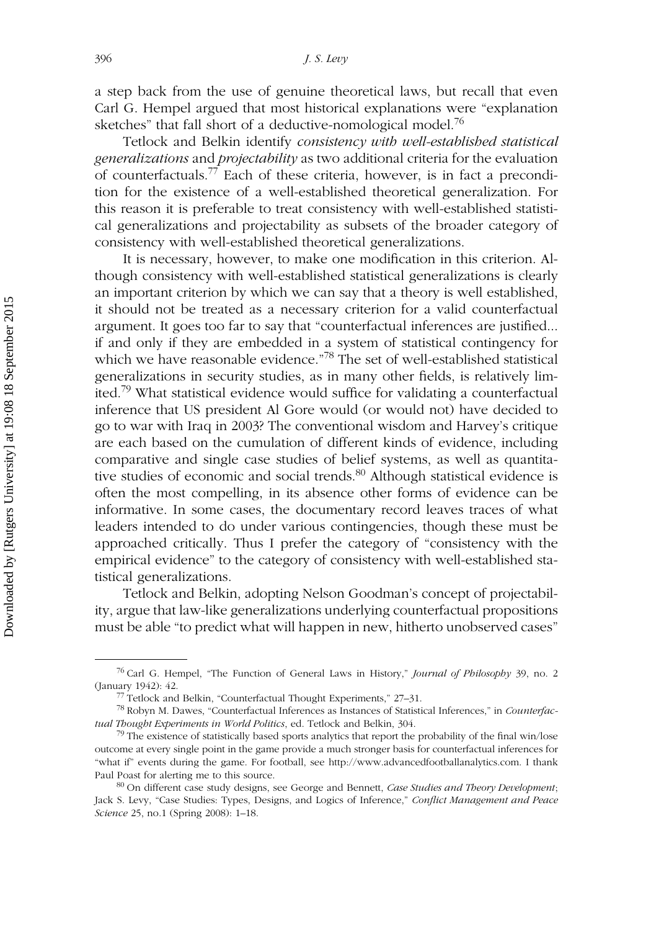a step back from the use of genuine theoretical laws, but recall that even Carl G. Hempel argued that most historical explanations were "explanation sketches" that fall short of a deductive-nomological model.<sup>76</sup>

Tetlock and Belkin identify *consistency with well-established statistical generalizations* and *projectability* as two additional criteria for the evaluation of counterfactuals.77 Each of these criteria, however, is in fact a precondition for the existence of a well-established theoretical generalization. For this reason it is preferable to treat consistency with well-established statistical generalizations and projectability as subsets of the broader category of consistency with well-established theoretical generalizations.

It is necessary, however, to make one modification in this criterion. Although consistency with well-established statistical generalizations is clearly an important criterion by which we can say that a theory is well established, it should not be treated as a necessary criterion for a valid counterfactual argument. It goes too far to say that "counterfactual inferences are justified... if and only if they are embedded in a system of statistical contingency for which we have reasonable evidence."<sup>78</sup> The set of well-established statistical generalizations in security studies, as in many other fields, is relatively limited.<sup>79</sup> What statistical evidence would suffice for validating a counterfactual inference that US president Al Gore would (or would not) have decided to go to war with Iraq in 2003? The conventional wisdom and Harvey's critique are each based on the cumulation of different kinds of evidence, including comparative and single case studies of belief systems, as well as quantitative studies of economic and social trends.<sup>80</sup> Although statistical evidence is often the most compelling, in its absence other forms of evidence can be informative. In some cases, the documentary record leaves traces of what leaders intended to do under various contingencies, though these must be approached critically. Thus I prefer the category of "consistency with the empirical evidence" to the category of consistency with well-established statistical generalizations.

Tetlock and Belkin, adopting Nelson Goodman's concept of projectability, argue that law-like generalizations underlying counterfactual propositions must be able "to predict what will happen in new, hitherto unobserved cases"

<sup>76</sup> Carl G. Hempel, "The Function of General Laws in History," *Journal of Philosophy* 39, no. 2 (January 1942): 42.

<sup>77</sup> Tetlock and Belkin, "Counterfactual Thought Experiments," 27–31.

<sup>78</sup> Robyn M. Dawes, "Counterfactual Inferences as Instances of Statistical Inferences," in *Counterfactual Thought Experiments in World Politics*, ed. Tetlock and Belkin, 304.

<sup>&</sup>lt;sup>79</sup> The existence of statistically based sports analytics that report the probability of the final win/lose outcome at every single point in the game provide a much stronger basis for counterfactual inferences for "what if" events during the game. For football, see http://www.advancedfootballanalytics.com. I thank Paul Poast for alerting me to this source.

<sup>80</sup> On different case study designs, see George and Bennett, *Case Studies and Theory Development*; Jack S. Levy, "Case Studies: Types, Designs, and Logics of Inference," *Conflict Management and Peace Science* 25, no.1 (Spring 2008): 1–18.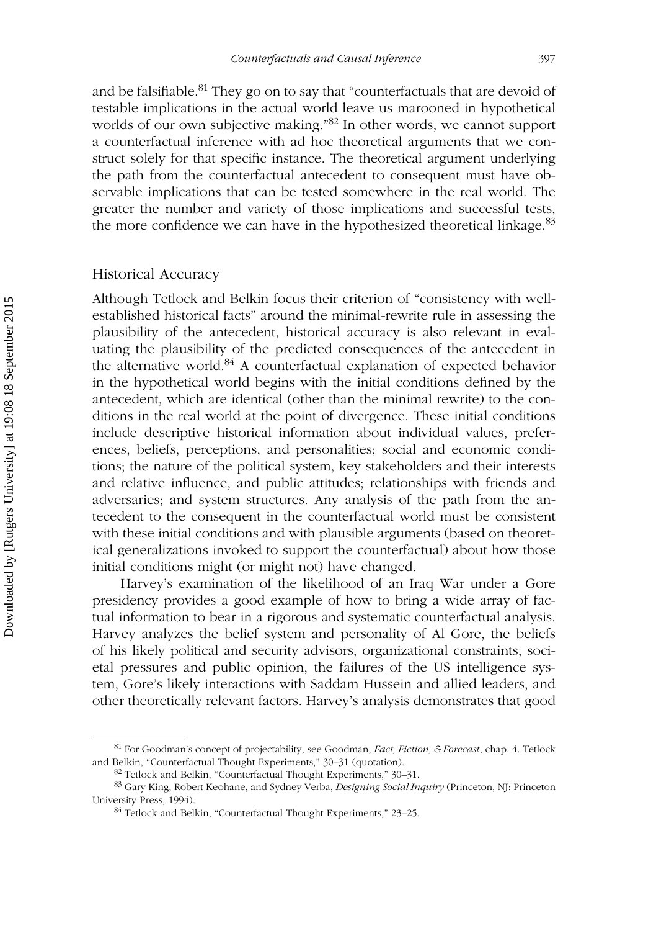and be falsifiable.<sup>81</sup> They go on to say that "counterfactuals that are devoid of testable implications in the actual world leave us marooned in hypothetical worlds of our own subjective making."82 In other words, we cannot support a counterfactual inference with ad hoc theoretical arguments that we construct solely for that specific instance. The theoretical argument underlying the path from the counterfactual antecedent to consequent must have observable implications that can be tested somewhere in the real world. The greater the number and variety of those implications and successful tests, the more confidence we can have in the hypothesized theoretical linkage. $83$ 

### Historical Accuracy

Although Tetlock and Belkin focus their criterion of "consistency with wellestablished historical facts" around the minimal-rewrite rule in assessing the plausibility of the antecedent, historical accuracy is also relevant in evaluating the plausibility of the predicted consequences of the antecedent in the alternative world. $84$  A counterfactual explanation of expected behavior in the hypothetical world begins with the initial conditions defined by the antecedent, which are identical (other than the minimal rewrite) to the conditions in the real world at the point of divergence. These initial conditions include descriptive historical information about individual values, preferences, beliefs, perceptions, and personalities; social and economic conditions; the nature of the political system, key stakeholders and their interests and relative influence, and public attitudes; relationships with friends and adversaries; and system structures. Any analysis of the path from the antecedent to the consequent in the counterfactual world must be consistent with these initial conditions and with plausible arguments (based on theoretical generalizations invoked to support the counterfactual) about how those initial conditions might (or might not) have changed.

Harvey's examination of the likelihood of an Iraq War under a Gore presidency provides a good example of how to bring a wide array of factual information to bear in a rigorous and systematic counterfactual analysis. Harvey analyzes the belief system and personality of Al Gore, the beliefs of his likely political and security advisors, organizational constraints, societal pressures and public opinion, the failures of the US intelligence system, Gore's likely interactions with Saddam Hussein and allied leaders, and other theoretically relevant factors. Harvey's analysis demonstrates that good

<sup>81</sup> For Goodman's concept of projectability, see Goodman, *Fact, Fiction, & Forecast*, chap. 4. Tetlock and Belkin, "Counterfactual Thought Experiments," 30–31 (quotation).

<sup>82</sup> Tetlock and Belkin, "Counterfactual Thought Experiments," 30–31.

<sup>83</sup> Gary King, Robert Keohane, and Sydney Verba, *Designing Social Inquiry* (Princeton, NJ: Princeton University Press, 1994).

<sup>84</sup> Tetlock and Belkin, "Counterfactual Thought Experiments," 23–25.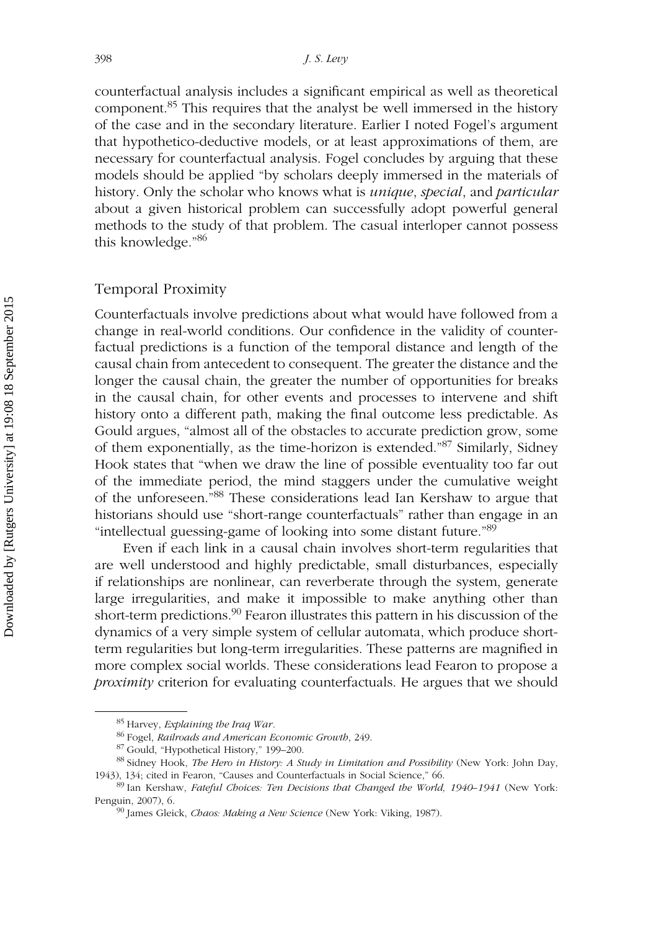counterfactual analysis includes a significant empirical as well as theoretical component.<sup>85</sup> This requires that the analyst be well immersed in the history of the case and in the secondary literature. Earlier I noted Fogel's argument that hypothetico-deductive models, or at least approximations of them, are necessary for counterfactual analysis. Fogel concludes by arguing that these models should be applied "by scholars deeply immersed in the materials of history. Only the scholar who knows what is *unique*, *special*, and *particular* about a given historical problem can successfully adopt powerful general methods to the study of that problem. The casual interloper cannot possess this knowledge."86

## Temporal Proximity

Counterfactuals involve predictions about what would have followed from a change in real-world conditions. Our confidence in the validity of counterfactual predictions is a function of the temporal distance and length of the causal chain from antecedent to consequent. The greater the distance and the longer the causal chain, the greater the number of opportunities for breaks in the causal chain, for other events and processes to intervene and shift history onto a different path, making the final outcome less predictable. As Gould argues, "almost all of the obstacles to accurate prediction grow, some of them exponentially, as the time-horizon is extended."<sup>87</sup> Similarly, Sidney Hook states that "when we draw the line of possible eventuality too far out of the immediate period, the mind staggers under the cumulative weight of the unforeseen."88 These considerations lead Ian Kershaw to argue that historians should use "short-range counterfactuals" rather than engage in an "intellectual guessing-game of looking into some distant future."<sup>89</sup>

Even if each link in a causal chain involves short-term regularities that are well understood and highly predictable, small disturbances, especially if relationships are nonlinear, can reverberate through the system, generate large irregularities, and make it impossible to make anything other than short-term predictions.<sup>90</sup> Fearon illustrates this pattern in his discussion of the dynamics of a very simple system of cellular automata, which produce shortterm regularities but long-term irregularities. These patterns are magnified in more complex social worlds. These considerations lead Fearon to propose a *proximity* criterion for evaluating counterfactuals. He argues that we should

<sup>85</sup> Harvey, *Explaining the Iraq War*.

<sup>86</sup> Fogel, *Railroads and American Economic Growth*, 249.

<sup>87</sup> Gould, "Hypothetical History," 199–200.

<sup>88</sup> Sidney Hook, *The Hero in History: A Study in Limitation and Possibility* (New York: John Day, 1943), 134; cited in Fearon, "Causes and Counterfactuals in Social Science," 66.

<sup>89</sup> Ian Kershaw, *Fateful Choices: Ten Decisions that Changed the World, 1940–1941* (New York: Penguin, 2007), 6.

<sup>90</sup> James Gleick, *Chaos: Making a New Science* (New York: Viking, 1987).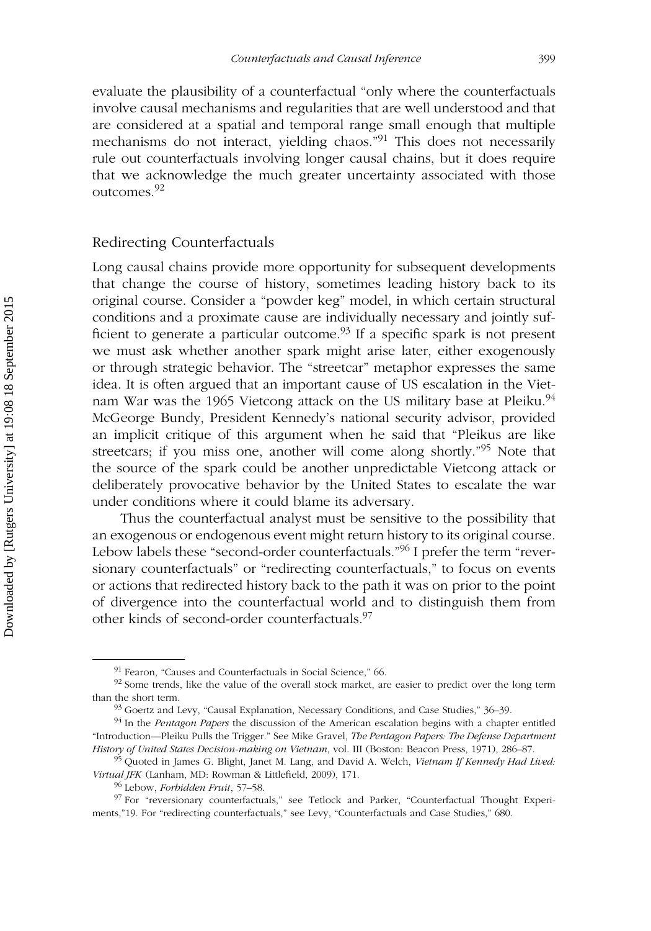evaluate the plausibility of a counterfactual "only where the counterfactuals involve causal mechanisms and regularities that are well understood and that are considered at a spatial and temporal range small enough that multiple mechanisms do not interact, yielding chaos."<sup>91</sup> This does not necessarily rule out counterfactuals involving longer causal chains, but it does require that we acknowledge the much greater uncertainty associated with those outcomes.<sup>92</sup>

## Redirecting Counterfactuals

Long causal chains provide more opportunity for subsequent developments that change the course of history, sometimes leading history back to its original course. Consider a "powder keg" model, in which certain structural conditions and a proximate cause are individually necessary and jointly sufficient to generate a particular outcome.<sup>93</sup> If a specific spark is not present we must ask whether another spark might arise later, either exogenously or through strategic behavior. The "streetcar" metaphor expresses the same idea. It is often argued that an important cause of US escalation in the Vietnam War was the 1965 Vietcong attack on the US military base at Pleiku.<sup>94</sup> McGeorge Bundy, President Kennedy's national security advisor, provided an implicit critique of this argument when he said that "Pleikus are like streetcars; if you miss one, another will come along shortly."<sup>95</sup> Note that the source of the spark could be another unpredictable Vietcong attack or deliberately provocative behavior by the United States to escalate the war under conditions where it could blame its adversary.

Thus the counterfactual analyst must be sensitive to the possibility that an exogenous or endogenous event might return history to its original course. Lebow labels these "second-order counterfactuals."<sup>96</sup> I prefer the term "reversionary counterfactuals" or "redirecting counterfactuals," to focus on events or actions that redirected history back to the path it was on prior to the point of divergence into the counterfactual world and to distinguish them from other kinds of second-order counterfactuals.<sup>97</sup>

<sup>91</sup> Fearon, "Causes and Counterfactuals in Social Science," 66.

<sup>&</sup>lt;sup>92</sup> Some trends, like the value of the overall stock market, are easier to predict over the long term than the short term.

<sup>93</sup> Goertz and Levy, "Causal Explanation, Necessary Conditions, and Case Studies," 36–39.

<sup>&</sup>lt;sup>94</sup> In the *Pentagon Papers* the discussion of the American escalation begins with a chapter entitled "Introduction—Pleiku Pulls the Trigger." See Mike Gravel, *The Pentagon Papers: The Defense Department History of United States Decision-making on Vietnam*, vol. III (Boston: Beacon Press, 1971), 286–87.

<sup>95</sup> Quoted in James G. Blight, Janet M. Lang, and David A. Welch, *Vietnam If Kennedy Had Lived: Virtual JFK* (Lanham, MD: Rowman & Littlefield, 2009), 171.

<sup>96</sup> Lebow, *Forbidden Fruit*, 57–58.

<sup>&</sup>lt;sup>97</sup> For "reversionary counterfactuals," see Tetlock and Parker, "Counterfactual Thought Experiments,"19. For "redirecting counterfactuals," see Levy, "Counterfactuals and Case Studies," 680.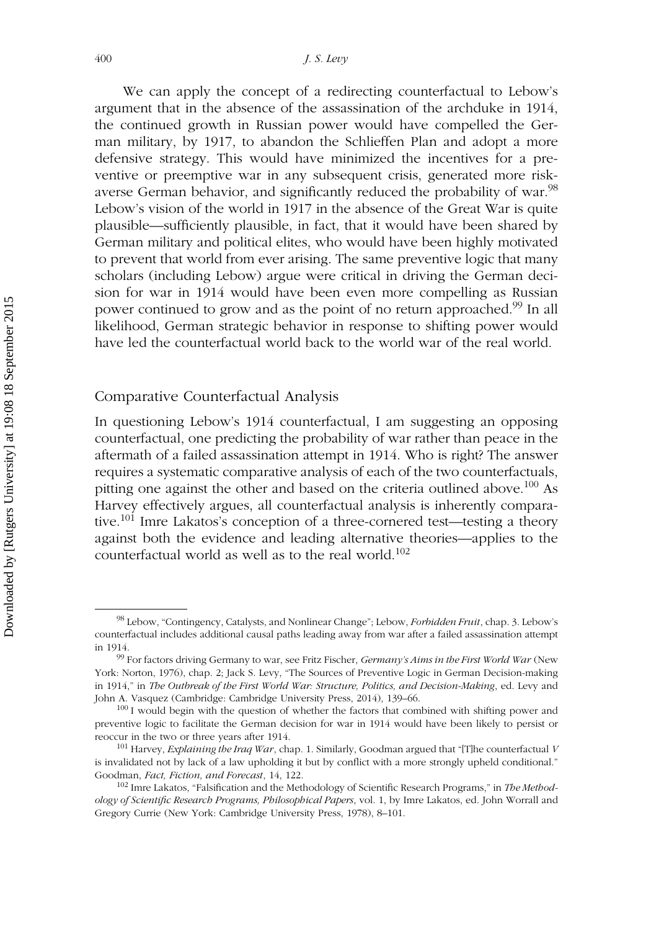We can apply the concept of a redirecting counterfactual to Lebow's argument that in the absence of the assassination of the archduke in 1914, the continued growth in Russian power would have compelled the German military, by 1917, to abandon the Schlieffen Plan and adopt a more defensive strategy. This would have minimized the incentives for a preventive or preemptive war in any subsequent crisis, generated more riskaverse German behavior, and significantly reduced the probability of war.<sup>98</sup> Lebow's vision of the world in 1917 in the absence of the Great War is quite plausible—sufficiently plausible, in fact, that it would have been shared by German military and political elites, who would have been highly motivated to prevent that world from ever arising. The same preventive logic that many scholars (including Lebow) argue were critical in driving the German decision for war in 1914 would have been even more compelling as Russian power continued to grow and as the point of no return approached.<sup>99</sup> In all likelihood, German strategic behavior in response to shifting power would have led the counterfactual world back to the world war of the real world.

## Comparative Counterfactual Analysis

In questioning Lebow's 1914 counterfactual, I am suggesting an opposing counterfactual, one predicting the probability of war rather than peace in the aftermath of a failed assassination attempt in 1914. Who is right? The answer requires a systematic comparative analysis of each of the two counterfactuals, pitting one against the other and based on the criteria outlined above.<sup>100</sup> As Harvey effectively argues, all counterfactual analysis is inherently comparative.<sup>101</sup> Imre Lakatos's conception of a three-cornered test—testing a theory against both the evidence and leading alternative theories—applies to the counterfactual world as well as to the real world.<sup>102</sup>

<sup>98</sup> Lebow, "Contingency, Catalysts, and Nonlinear Change"; Lebow, *Forbidden Fruit*, chap. 3. Lebow's counterfactual includes additional causal paths leading away from war after a failed assassination attempt in 1914.

<sup>99</sup> For factors driving Germany to war, see Fritz Fischer, *Germany's Aims in the First World War* (New York: Norton, 1976), chap. 2; Jack S. Levy, "The Sources of Preventive Logic in German Decision-making in 1914," in *The Outbreak of the First World War: Structure, Politics, and Decision-Making*, ed. Levy and John A. Vasquez (Cambridge: Cambridge University Press, 2014), 139–66.

<sup>&</sup>lt;sup>100</sup> I would begin with the question of whether the factors that combined with shifting power and preventive logic to facilitate the German decision for war in 1914 would have been likely to persist or reoccur in the two or three years after 1914.

<sup>101</sup> Harvey, *Explaining the Iraq War*, chap. 1. Similarly, Goodman argued that "[T]he counterfactual *V* is invalidated not by lack of a law upholding it but by conflict with a more strongly upheld conditional." Goodman, *Fact, Fiction, and Forecast*, 14, 122.

<sup>102</sup> Imre Lakatos, "Falsification and the Methodology of Scientific Research Programs," in *The Methodology of Scientific Research Programs, Philosophical Papers*, vol. 1, by Imre Lakatos, ed. John Worrall and Gregory Currie (New York: Cambridge University Press, 1978), 8–101.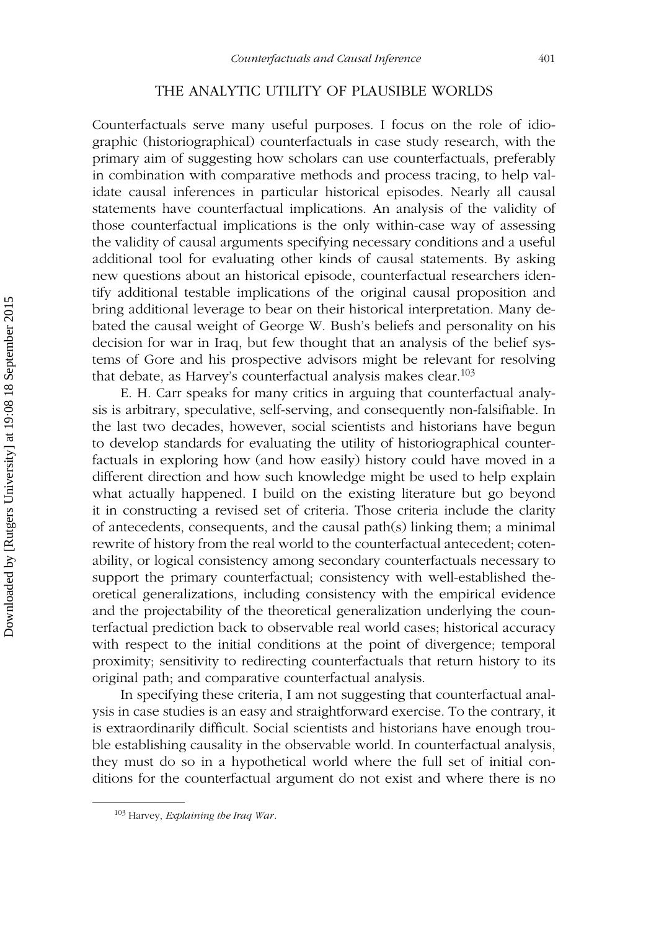## THE ANALYTIC UTILITY OF PLAUSIBLE WORLDS

Counterfactuals serve many useful purposes. I focus on the role of idiographic (historiographical) counterfactuals in case study research, with the primary aim of suggesting how scholars can use counterfactuals, preferably in combination with comparative methods and process tracing, to help validate causal inferences in particular historical episodes. Nearly all causal statements have counterfactual implications. An analysis of the validity of those counterfactual implications is the only within-case way of assessing the validity of causal arguments specifying necessary conditions and a useful additional tool for evaluating other kinds of causal statements. By asking new questions about an historical episode, counterfactual researchers identify additional testable implications of the original causal proposition and bring additional leverage to bear on their historical interpretation. Many debated the causal weight of George W. Bush's beliefs and personality on his decision for war in Iraq, but few thought that an analysis of the belief systems of Gore and his prospective advisors might be relevant for resolving that debate, as Harvey's counterfactual analysis makes clear.<sup>103</sup>

E. H. Carr speaks for many critics in arguing that counterfactual analysis is arbitrary, speculative, self-serving, and consequently non-falsifiable. In the last two decades, however, social scientists and historians have begun to develop standards for evaluating the utility of historiographical counterfactuals in exploring how (and how easily) history could have moved in a different direction and how such knowledge might be used to help explain what actually happened. I build on the existing literature but go beyond it in constructing a revised set of criteria. Those criteria include the clarity of antecedents, consequents, and the causal path(s) linking them; a minimal rewrite of history from the real world to the counterfactual antecedent; cotenability, or logical consistency among secondary counterfactuals necessary to support the primary counterfactual; consistency with well-established theoretical generalizations, including consistency with the empirical evidence and the projectability of the theoretical generalization underlying the counterfactual prediction back to observable real world cases; historical accuracy with respect to the initial conditions at the point of divergence; temporal proximity; sensitivity to redirecting counterfactuals that return history to its original path; and comparative counterfactual analysis.

In specifying these criteria, I am not suggesting that counterfactual analysis in case studies is an easy and straightforward exercise. To the contrary, it is extraordinarily difficult. Social scientists and historians have enough trouble establishing causality in the observable world. In counterfactual analysis, they must do so in a hypothetical world where the full set of initial conditions for the counterfactual argument do not exist and where there is no

<sup>103</sup> Harvey, *Explaining the Iraq War*.